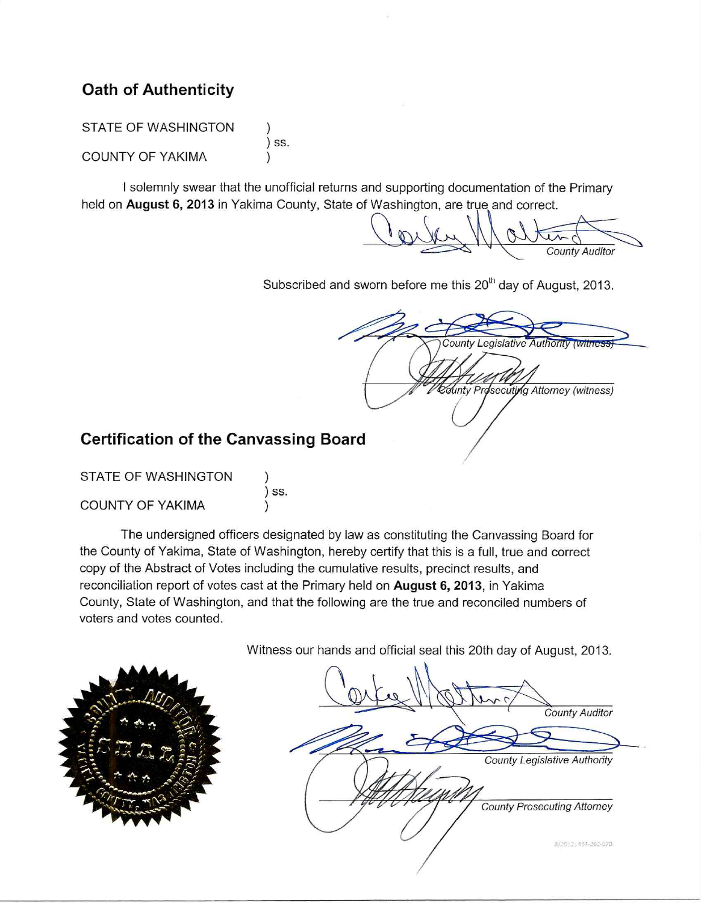# **Oath of Authenticity**

**STATE OF WASHINGTON** ) ss. COUNTY OF YAKIMA

I solemnly swear that the unofficial returns and supporting documentation of the Primary held on August 6, 2013 in Yakima County, State of Washington, are true and correct.

**County Auditor** 

Subscribed and sworn before me this 20<sup>th</sup> day of August, 2013.

**County Legislative Authority (with** County Prosecuting Attorney (witness)

# **Certification of the Canvassing Board**

| STATE OF WASHINGTON     |       |
|-------------------------|-------|
|                         | ) SS. |
| <b>COUNTY OF YAKIMA</b> |       |

The undersigned officers designated by law as constituting the Canvassing Board for the County of Yakima, State of Washington, hereby certify that this is a full, true and correct copy of the Abstract of Votes including the cumulative results, precinct results, and reconciliation report of votes cast at the Primary held on August 6, 2013, in Yakima County, State of Washington, and that the following are the true and reconciled numbers of voters and votes counted.

Witness our hands and official seal this 20th day of August, 2013.

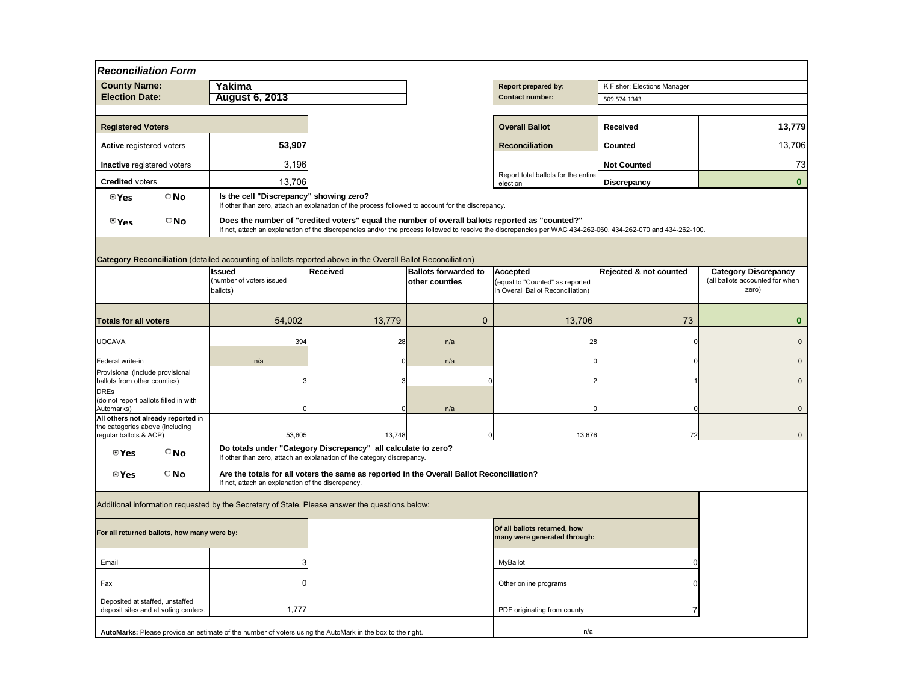| <b>Accepted</b><br>(equal to "Counted" as reported<br>in Overall Ballot Reconciliation) | <b>Rejected &amp; not counted</b> | <b>Category Discrepancy</b><br>(all ballots accounted for when<br>zero) |
|-----------------------------------------------------------------------------------------|-----------------------------------|-------------------------------------------------------------------------|
| 13,706                                                                                  | 73                                | O                                                                       |
| 28                                                                                      | 0                                 | $\mathbf 0$                                                             |
| 0                                                                                       | 0                                 | $\overline{0}$                                                          |
| $\overline{2}$                                                                          |                                   | $\overline{0}$                                                          |
|                                                                                         |                                   |                                                                         |
| 0                                                                                       | $\mathbf 0$                       | $\mathbf 0$                                                             |
| 13,676                                                                                  | 72                                | 0                                                                       |

| Of all ballots returned, how<br>many were generated through: |  |
|--------------------------------------------------------------|--|
| <b>MyBallot</b>                                              |  |
| Other online programs                                        |  |
| PDF originating from county                                  |  |
| n/a                                                          |  |

| <b>Reconciliation Form</b>                                                                                          |                                                   |                                                                                                                                         |                             |                                                                                                                                                               |                                   |                                          |
|---------------------------------------------------------------------------------------------------------------------|---------------------------------------------------|-----------------------------------------------------------------------------------------------------------------------------------------|-----------------------------|---------------------------------------------------------------------------------------------------------------------------------------------------------------|-----------------------------------|------------------------------------------|
| <b>County Name:</b>                                                                                                 | Yakima                                            |                                                                                                                                         |                             | <b>Report prepared by:</b>                                                                                                                                    | K Fisher; Elections Manager       |                                          |
| <b>Election Date:</b>                                                                                               | <b>August 6, 2013</b>                             |                                                                                                                                         |                             | <b>Contact number:</b>                                                                                                                                        | 509.574.1343                      |                                          |
|                                                                                                                     |                                                   |                                                                                                                                         |                             |                                                                                                                                                               |                                   |                                          |
| <b>Registered Voters</b>                                                                                            |                                                   |                                                                                                                                         |                             | <b>Overall Ballot</b>                                                                                                                                         | <b>Received</b>                   | 13,779                                   |
| <b>Active registered voters</b>                                                                                     | 53,907                                            |                                                                                                                                         |                             | <b>Reconciliation</b>                                                                                                                                         | <b>Counted</b>                    | 13,706                                   |
| <b>Inactive registered voters</b>                                                                                   | 3,196                                             |                                                                                                                                         |                             |                                                                                                                                                               | <b>Not Counted</b>                | 73                                       |
| <b>Credited voters</b>                                                                                              | 13,706                                            |                                                                                                                                         |                             | Report total ballots for the entire<br>election                                                                                                               | <b>Discrepancy</b>                | $\boldsymbol{0}$                         |
| $\bigcirc$ No<br>© Yes                                                                                              | Is the cell "Discrepancy" showing zero?           | If other than zero, attach an explanation of the process followed to account for the discrepancy.                                       |                             |                                                                                                                                                               |                                   |                                          |
| $\Box$ No<br>$\mathbf{e}_{\mathsf{Yes}}$                                                                            |                                                   | Does the number of "credited voters" equal the number of overall ballots reported as "counted?"                                         |                             | If not, attach an explanation of the discrepancies and/or the process followed to resolve the discrepancies per WAC 434-262-060, 434-262-070 and 434-262-100. |                                   |                                          |
|                                                                                                                     |                                                   |                                                                                                                                         |                             |                                                                                                                                                               |                                   |                                          |
| <b>Category Reconciliation</b> (detailed accounting of ballots reported above in the Overall Ballot Reconciliation) |                                                   |                                                                                                                                         |                             |                                                                                                                                                               |                                   |                                          |
|                                                                                                                     | <b>Issued</b>                                     | <b>Received</b>                                                                                                                         | <b>Ballots forwarded to</b> | Accepted                                                                                                                                                      | <b>Rejected &amp; not counted</b> | <b>Category Discrepancy</b>              |
|                                                                                                                     | (number of voters issued<br>ballots)              |                                                                                                                                         | <b>other counties</b>       | (equal to "Counted" as reported<br>in Overall Ballot Reconciliation)                                                                                          |                                   | (all ballots accounted for when<br>zero) |
|                                                                                                                     |                                                   |                                                                                                                                         |                             |                                                                                                                                                               |                                   |                                          |
| <b>Totals for all voters</b>                                                                                        | 54,002                                            | 13,779                                                                                                                                  |                             | 13,706                                                                                                                                                        | 73                                | $\boldsymbol{0}$                         |
| <b>UOCAVA</b>                                                                                                       | 394                                               | 28                                                                                                                                      | n/a                         | 28                                                                                                                                                            |                                   | $\overline{0}$                           |
| Federal write-in                                                                                                    | n/a                                               |                                                                                                                                         | n/a                         |                                                                                                                                                               |                                   | $\mathbf{0}$                             |
| Provisional (include provisional                                                                                    |                                                   |                                                                                                                                         |                             |                                                                                                                                                               |                                   |                                          |
| ballots from other counties)<br><b>DRES</b>                                                                         |                                                   |                                                                                                                                         |                             |                                                                                                                                                               |                                   | $\mathbf{0}$                             |
| (do not report ballots filled in with<br>Automarks)                                                                 |                                                   |                                                                                                                                         | n/a                         |                                                                                                                                                               |                                   | $\overline{0}$                           |
| All others not already reported in                                                                                  |                                                   |                                                                                                                                         |                             |                                                                                                                                                               |                                   |                                          |
| the categories above (including<br>regular ballots & ACP)                                                           | 53,605                                            | 13,748                                                                                                                                  |                             | 13,676                                                                                                                                                        | 72                                | $\mathbf{0}$                             |
| $^{\circ}$ No<br>© Yes                                                                                              |                                                   | Do totals under "Category Discrepancy" all calculate to zero?<br>If other than zero, attach an explanation of the category discrepancy. |                             |                                                                                                                                                               |                                   |                                          |
| $\Box$ No<br>© Yes                                                                                                  | If not, attach an explanation of the discrepancy. | Are the totals for all voters the same as reported in the Overall Ballot Reconciliation?                                                |                             |                                                                                                                                                               |                                   |                                          |
|                                                                                                                     |                                                   |                                                                                                                                         |                             |                                                                                                                                                               |                                   |                                          |
| Additional information requested by the Secretary of State. Please answer the questions below:                      |                                                   |                                                                                                                                         |                             |                                                                                                                                                               |                                   |                                          |
| For all returned ballots, how many were by:                                                                         |                                                   |                                                                                                                                         |                             | Of all ballots returned, how<br>many were generated through:                                                                                                  |                                   |                                          |
| Email                                                                                                               |                                                   |                                                                                                                                         |                             | MyBallot                                                                                                                                                      |                                   |                                          |
| Fax                                                                                                                 |                                                   |                                                                                                                                         |                             | Other online programs                                                                                                                                         |                                   |                                          |
|                                                                                                                     |                                                   |                                                                                                                                         |                             |                                                                                                                                                               |                                   |                                          |
| Deposited at staffed, unstaffed<br>deposit sites and at voting centers.                                             | 1,777                                             |                                                                                                                                         |                             | PDF originating from county                                                                                                                                   |                                   |                                          |
| AutoMarks: Please provide an estimate of the number of voters using the AutoMark in the box to the right.           |                                                   |                                                                                                                                         |                             | n/a                                                                                                                                                           |                                   |                                          |
|                                                                                                                     |                                                   |                                                                                                                                         |                             |                                                                                                                                                               |                                   |                                          |

| <b>Report prepared by:</b>                      | K Fisher; Elections Manager |        |
|-------------------------------------------------|-----------------------------|--------|
| <b>Contact number:</b>                          | 509.574.1343                |        |
|                                                 |                             |        |
| <b>Overall Ballot</b>                           | <b>Received</b>             | 13,779 |
| <b>Reconciliation</b>                           | <b>Counted</b>              | 13,706 |
|                                                 | <b>Not Counted</b>          | 73     |
| Report total ballots for the entire<br>election | <b>Discrepancy</b>          |        |

# **Drted as "counted?"**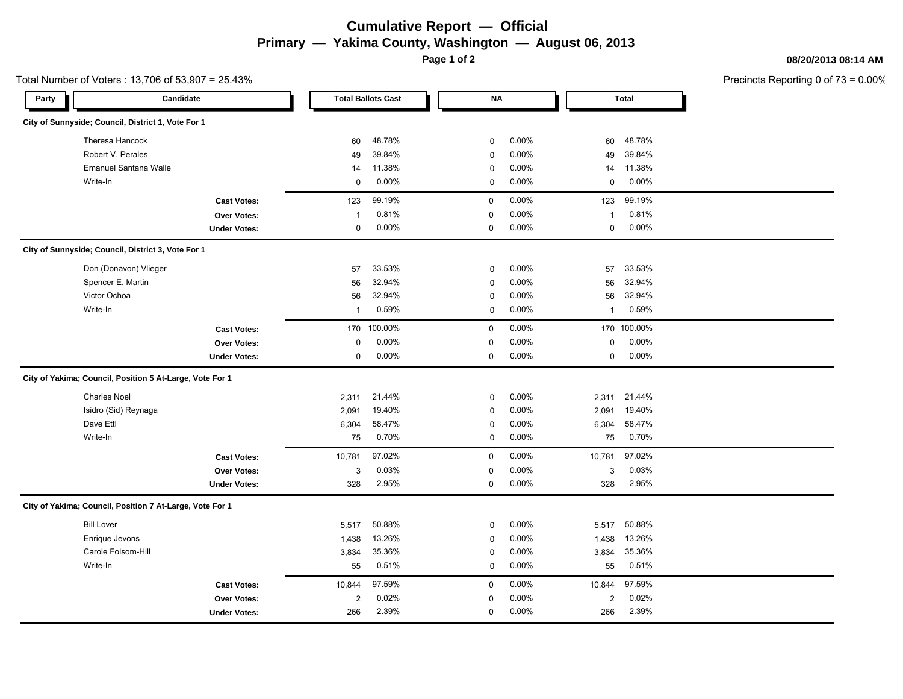# **Cumulative Report — Official Primary — Yakima County, Washington — August 06, 2013**

**Page 1 of 2**

#### **08/20/2013 08:14 AM**

|       | Total Number of Voters: 13,706 of 53,907 = 25.43%        |                     |                |                           |             |          |                  |              | Precincts Reporting 0 of |
|-------|----------------------------------------------------------|---------------------|----------------|---------------------------|-------------|----------|------------------|--------------|--------------------------|
| Party | Candidate                                                |                     |                | <b>Total Ballots Cast</b> | NΑ          |          |                  | <b>Total</b> |                          |
|       | City of Sunnyside; Council, District 1, Vote For 1       |                     |                |                           |             |          |                  |              |                          |
|       | Theresa Hancock                                          |                     | 60             | 48.78%                    | $\mathbf 0$ | 0.00%    | 60               | 48.78%       |                          |
|       | Robert V. Perales                                        |                     | 49             | 39.84%                    | $\mathbf 0$ | 0.00%    | 49               | 39.84%       |                          |
|       | Emanuel Santana Walle                                    |                     | 14             | 11.38%                    | $\pmb{0}$   | 0.00%    | 14               | 11.38%       |                          |
|       | Write-In                                                 |                     | $\mathbf 0$    | 0.00%                     | 0           | 0.00%    | 0                | 0.00%        |                          |
|       |                                                          | <b>Cast Votes:</b>  | 123            | 99.19%                    | 0           | 0.00%    | 123              | 99.19%       |                          |
|       |                                                          | Over Votes:         | $\mathbf{1}$   | 0.81%                     | 0           | 0.00%    | $\mathbf{1}$     | 0.81%        |                          |
|       |                                                          | <b>Under Votes:</b> | 0              | 0.00%                     | 0           | 0.00%    | 0                | $0.00\%$     |                          |
|       | City of Sunnyside; Council, District 3, Vote For 1       |                     |                |                           |             |          |                  |              |                          |
|       | Don (Donavon) Vlieger                                    |                     | 57             | 33.53%                    | $\mathbf 0$ | 0.00%    | 57               | 33.53%       |                          |
|       | Spencer E. Martin                                        |                     | 56             | 32.94%                    | $\mathbf 0$ | 0.00%    | 56               | 32.94%       |                          |
|       | Victor Ochoa                                             |                     | 56             | 32.94%                    | $\mathbf 0$ | 0.00%    | 56               | 32.94%       |                          |
|       | Write-In                                                 |                     | $\mathbf{1}$   | 0.59%                     | 0           | $0.00\%$ | $\mathbf{1}$     | 0.59%        |                          |
|       |                                                          | <b>Cast Votes:</b>  | 170            | 100.00%                   | 0           | 0.00%    |                  | 170 100.00%  |                          |
|       |                                                          | Over Votes:         | 0              | 0.00%                     | 0           | 0.00%    | 0                | $0.00\%$     |                          |
|       |                                                          | <b>Under Votes:</b> | $\mathbf 0$    | $0.00\%$                  | 0           | $0.00\%$ | $\mathbf 0$      | $0.00\%$     |                          |
|       | City of Yakima; Council, Position 5 At-Large, Vote For 1 |                     |                |                           |             |          |                  |              |                          |
|       | <b>Charles Noel</b>                                      |                     | 2,311          | 21.44%                    | 0           | 0.00%    | 2,311            | 21.44%       |                          |
|       | Isidro (Sid) Reynaga                                     |                     | 2,091          | 19.40%                    | $\mathbf 0$ | 0.00%    | 2,091            | 19.40%       |                          |
|       | Dave Ettl                                                |                     | 6,304          | 58.47%                    | $\mathbf 0$ | 0.00%    | 6,304            | 58.47%       |                          |
|       | Write-In                                                 |                     | 75             | 0.70%                     | $\mathbf 0$ | $0.00\%$ | 75               | 0.70%        |                          |
|       |                                                          | <b>Cast Votes:</b>  | 10,781         | 97.02%                    | 0           | 0.00%    | 10,781           | 97.02%       |                          |
|       |                                                          | <b>Over Votes:</b>  | 3              | 0.03%                     | 0           | 0.00%    | 3                | 0.03%        |                          |
|       |                                                          | <b>Under Votes:</b> | 328            | 2.95%                     | 0           | 0.00%    | 328              | 2.95%        |                          |
|       | City of Yakima; Council, Position 7 At-Large, Vote For 1 |                     |                |                           |             |          |                  |              |                          |
|       | <b>Bill Lover</b>                                        |                     | 5,517          | 50.88%                    | $\mathbf 0$ | $0.00\%$ | 5,517            | 50.88%       |                          |
|       | Enrique Jevons                                           |                     | 1,438          | 13.26%                    | $\mathbf 0$ | 0.00%    | 1,438            | 13.26%       |                          |
|       | Carole Folsom-Hill                                       |                     | 3,834          | 35.36%                    | 0           | 0.00%    | 3,834            | 35.36%       |                          |
|       | Write-In                                                 |                     | 55             | 0.51%                     | $\mathbf 0$ | 0.00%    | 55               | 0.51%        |                          |
|       |                                                          | <b>Cast Votes:</b>  | 10,844         | 97.59%                    | 0           | 0.00%    | 10,844           | 97.59%       |                          |
|       |                                                          | Over Votes:         | $\overline{2}$ | 0.02%                     | 0           | 0.00%    | $\boldsymbol{2}$ | 0.02%        |                          |
|       |                                                          | <b>Under Votes:</b> | 266            | 2.39%                     | 0           | 0.00%    | 266              | 2.39%        |                          |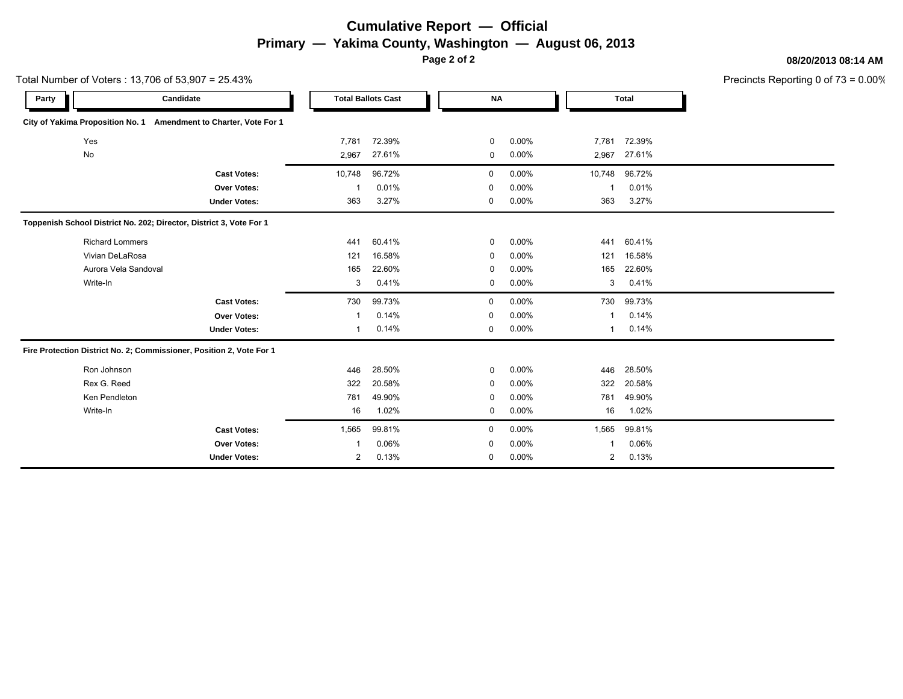# **Cumulative Report — Official Primary — Yakima County, Washington — August 06, 2013**

**Page 2 of 2**

**08/20/2013 08:14 AM**

| Total Number of Voters: 13,706 of 53,907 = 25.43% |                                                                      |                     |        |                           |             |          |        |              | Precincts Reporting 0 of |
|---------------------------------------------------|----------------------------------------------------------------------|---------------------|--------|---------------------------|-------------|----------|--------|--------------|--------------------------|
| Party                                             |                                                                      | Candidate           |        | <b>Total Ballots Cast</b> | <b>NA</b>   |          |        | <b>Total</b> |                          |
|                                                   | City of Yakima Proposition No. 1 Amendment to Charter, Vote For 1    |                     |        |                           |             |          |        |              |                          |
|                                                   | Yes                                                                  |                     | 7,781  | 72.39%                    | 0           | 0.00%    | 7,781  | 72.39%       |                          |
|                                                   | No                                                                   |                     | 2,967  | 27.61%                    | 0           | 0.00%    | 2,967  | 27.61%       |                          |
|                                                   |                                                                      | <b>Cast Votes:</b>  | 10,748 | 96.72%                    | 0           | $0.00\%$ | 10,748 | 96.72%       |                          |
|                                                   |                                                                      | Over Votes:         |        | 0.01%                     | 0           | 0.00%    |        | 0.01%        |                          |
|                                                   |                                                                      | <b>Under Votes:</b> | 363    | 3.27%                     | $\mathbf 0$ | 0.00%    | 363    | 3.27%        |                          |
|                                                   | Toppenish School District No. 202; Director, District 3, Vote For 1  |                     |        |                           |             |          |        |              |                          |
|                                                   | <b>Richard Lommers</b>                                               |                     | 441    | 60.41%                    | 0           | $0.00\%$ | 441    | 60.41%       |                          |
|                                                   | Vivian DeLaRosa                                                      |                     | 121    | 16.58%                    | 0           | 0.00%    | 121    | 16.58%       |                          |
|                                                   | Aurora Vela Sandoval                                                 |                     | 165    | 22.60%                    | 0           | $0.00\%$ | 165    | 22.60%       |                          |
|                                                   | Write-In                                                             |                     | 3      | 0.41%                     | 0           | $0.00\%$ | 3      | 0.41%        |                          |
|                                                   |                                                                      | <b>Cast Votes:</b>  | 730    | 99.73%                    | $\mathbf 0$ | $0.00\%$ | 730    | 99.73%       |                          |
|                                                   |                                                                      | Over Votes:         |        | 0.14%                     | $\mathbf 0$ | 0.00%    |        | 0.14%        |                          |
|                                                   |                                                                      | <b>Under Votes:</b> |        | 0.14%                     | 0           | 0.00%    |        | 0.14%        |                          |
|                                                   | Fire Protection District No. 2; Commissioner, Position 2, Vote For 1 |                     |        |                           |             |          |        |              |                          |
|                                                   | Ron Johnson                                                          |                     | 446    | 28.50%                    | 0           | $0.00\%$ | 446    | 28.50%       |                          |
|                                                   | Rex G. Reed                                                          |                     | 322    | 20.58%                    | 0           | 0.00%    | 322    | 20.58%       |                          |
|                                                   | Ken Pendleton                                                        |                     | 781    | 49.90%                    | 0           | 0.00%    | 781    | 49.90%       |                          |
|                                                   | Write-In                                                             |                     | 16     | 1.02%                     | 0           | $0.00\%$ | 16     | 1.02%        |                          |
|                                                   |                                                                      | <b>Cast Votes:</b>  | 1,565  | 99.81%                    | $\mathbf 0$ | 0.00%    | 1,565  | 99.81%       |                          |
|                                                   |                                                                      | <b>Over Votes:</b>  |        | 0.06%                     | 0           | $0.00\%$ |        | 0.06%        |                          |
|                                                   |                                                                      | <b>Under Votes:</b> | 2      | 0.13%                     | $\mathbf 0$ | 0.00%    | 2      | 0.13%        |                          |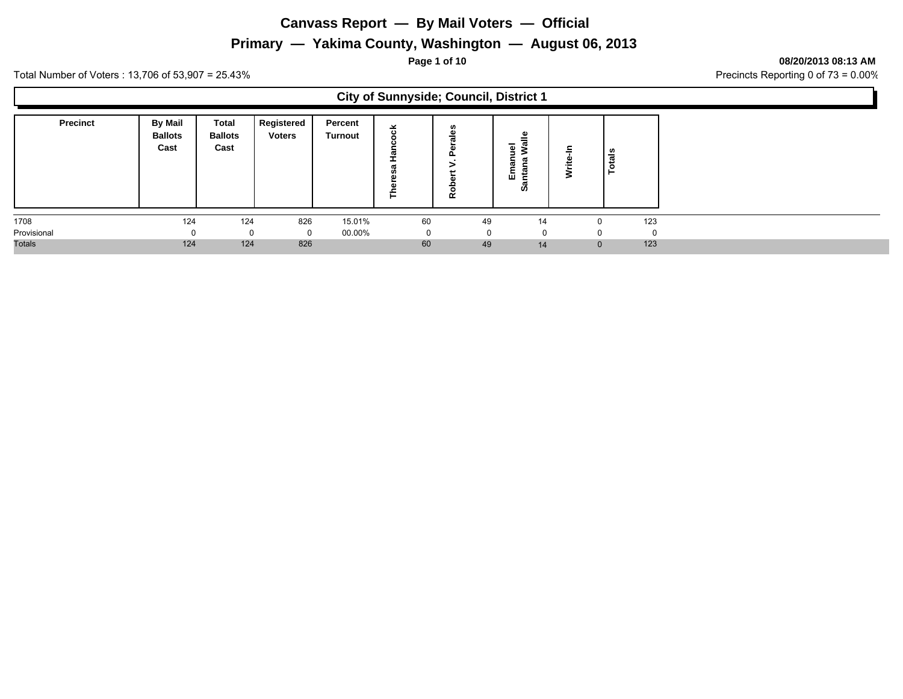#### **Primary — Yakima County, Washington — August 06, 2013**

**Page 1 of 10 08/20/2013 08:13 AM**

L.

Total Number of Voters : 13,706 of 53,907 = 25.43% Precincts Reporting 0 of 73 = 0.00%

 $\Gamma$ 

|                 |                                          |                                 |                             |                    |          | <b>City of Sunnyside; Council, District 1</b> |                                                |   |                 |          |
|-----------------|------------------------------------------|---------------------------------|-----------------------------|--------------------|----------|-----------------------------------------------|------------------------------------------------|---|-----------------|----------|
| <b>Precinct</b> | <b>By Mail</b><br><b>Ballots</b><br>Cast | Total<br><b>Ballots</b><br>Cast | Registered<br><b>Voters</b> | Percent<br>Turnout | 舌<br>Е   | n<br>₾<br>œ                                   | ౨<br>$\overline{\mathbf{c}}$<br>ш<br><b>SO</b> | s | tals<br>$\circ$ |          |
| 1708            | 124                                      | 124                             | 826                         | 15.01%             | 60       | 49                                            | 14                                             |   | 123<br>$\Omega$ |          |
| Provisional     | $\Omega$                                 | 0                               |                             | 00.00%             | $\Omega$ | $\Omega$                                      | $\mathbf{0}$                                   |   | $\Omega$        | $\Omega$ |
| <b>Totals</b>   | 124                                      | 124                             | 826                         |                    | 60       | 49                                            | 14                                             |   | $\mathbf{0}$    | 123      |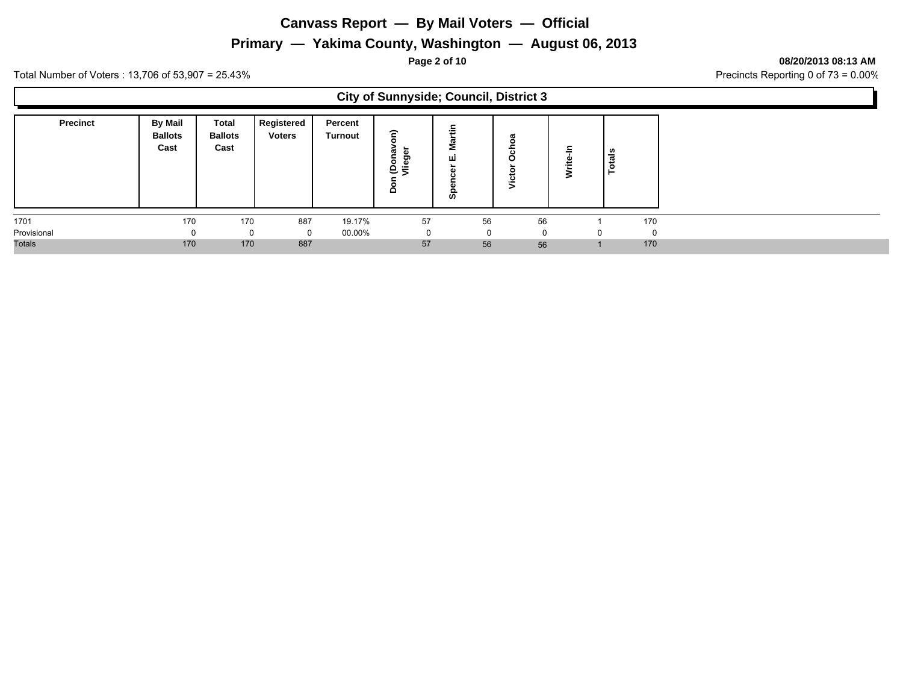#### **Primary — Yakima County, Washington — August 06, 2013**

**Page 2 of 10 08/20/2013 08:13 AM**

Total Number of Voters : 13,706 of 53,907 = 25.43% Precincts Reporting 0 of 73 = 0.00%

 $\Gamma$ 

|                 |                                   |                                 |                             |                    | <b>City of Sunnyside; Council, District 3</b> |          |                       |           |
|-----------------|-----------------------------------|---------------------------------|-----------------------------|--------------------|-----------------------------------------------|----------|-----------------------|-----------|
| <b>Precinct</b> | By Mail<br><b>Ballots</b><br>Cast | Total<br><b>Ballots</b><br>Cast | Registered<br><b>Voters</b> | Percent<br>Turnout | ε<br>ರಾ<br>۰<br>$e_{\bar{z}}$<br>۵            | ш<br>ഗ   | ී<br>৳<br>O<br>Victor | tais<br>c |
| 1701            | 170                               | 170                             | 887                         | 19.17%             | 57                                            | 56       | 56                    | 170       |
| Provisional     | ŋ                                 |                                 |                             | 00.00%             | 0                                             | $\Omega$ |                       | $\Omega$  |
| <b>Totals</b>   | 170                               | 170                             | 887                         |                    | 57                                            | 56       | 56                    | 170       |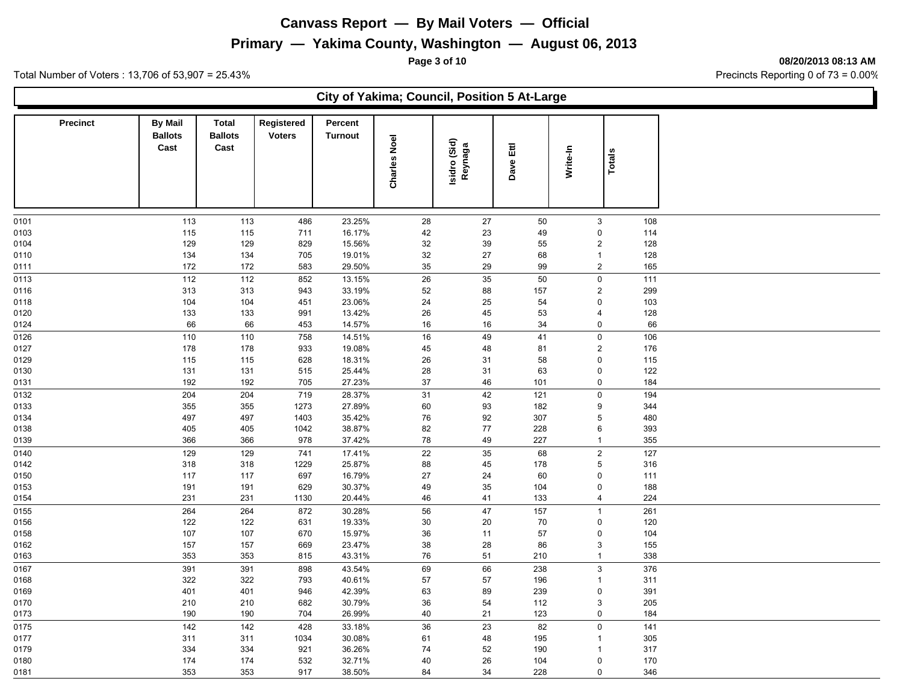#### **Primary — Yakima County, Washington — August 06, 2013**

**Page 3 of 10 08/20/2013 08:13 AM**

Total Number of Voters : 13,706 of 53,907 = 25.43% Precincts Reporting 0 of 73 = 0.00%

#### **City of Yakima; Council, Position 5 At-Large**

| <b>Precinct</b> | <b>By Mail</b><br><b>Ballots</b><br>Cast | <b>Total</b><br><b>Ballots</b><br>Cast | Registered<br><b>Voters</b> | Percent<br><b>Turnout</b> |                     |                         |           |                |               |  |
|-----------------|------------------------------------------|----------------------------------------|-----------------------------|---------------------------|---------------------|-------------------------|-----------|----------------|---------------|--|
|                 |                                          |                                        |                             |                           | <b>Charles Noel</b> | Isidro (Sid)<br>Reynaga | Dave Ettl | Write-In       | <b>Totals</b> |  |
| 0101            | 113                                      | 113                                    | 486                         | 23.25%                    | 28                  | 27                      | 50        | $\mathbf{3}$   | 108           |  |
| 0103            | 115                                      | 115                                    | 711                         | 16.17%                    | $42\,$              | 23                      | 49        | $\pmb{0}$      | 114           |  |
| 0104            | 129                                      | 129                                    | 829                         | 15.56%                    | 32                  | 39                      | 55        | $\overline{2}$ | 128           |  |
| 0110            | 134                                      | 134                                    | 705                         | 19.01%                    | 32                  | 27                      | 68        | $\mathbf{1}$   | 128           |  |
| 0111            | 172                                      | 172                                    | 583                         | 29.50%                    | 35                  | 29                      | 99        | $\overline{2}$ | 165           |  |
| 0113            | 112                                      | 112                                    | 852                         | 13.15%                    | 26                  | 35                      | 50        | $\mathbf 0$    | 111           |  |
| 0116            | 313                                      | 313                                    | 943                         | 33.19%                    | 52                  | 88                      | 157       | $\overline{2}$ | 299           |  |
| 0118            | 104                                      | 104                                    | 451                         | 23.06%                    | 24                  | 25                      | 54        | $\mathsf 0$    | 103           |  |
| 0120            | 133                                      | 133                                    | 991                         | 13.42%                    | $26\,$              | 45                      | 53        | $\overline{4}$ | 128           |  |
| 0124            | 66                                       | 66                                     | 453                         | 14.57%                    | 16                  | 16                      | 34        | $\mathbf 0$    | 66            |  |
| 0126            | 110                                      | 110                                    | 758                         | 14.51%                    | $16\,$              | 49                      | 41        | $\mathbf 0$    | 106           |  |
| 0127            | 178                                      | 178                                    | 933                         | 19.08%                    | 45                  | 48                      | 81        | $\overline{2}$ | 176           |  |
| 0129            | 115                                      | 115                                    | 628                         | 18.31%                    | 26                  | 31                      | 58        | $\pmb{0}$      | 115           |  |
| 0130            | 131                                      | 131                                    | 515                         | 25.44%                    | 28                  | 31                      | 63        | $\mathsf 0$    | 122           |  |
| 0131            | 192                                      | 192                                    | 705                         | 27.23%                    | 37                  | 46                      | 101       | $\mathsf 0$    | 184           |  |
| 0132            | 204                                      | 204                                    | 719                         | 28.37%                    | 31                  | 42                      | 121       | $\mathsf 0$    | 194           |  |
| 0133            | 355                                      | 355                                    | 1273                        | 27.89%                    | 60                  | 93                      | 182       | 9              | 344           |  |
| 0134            | 497                                      | 497                                    | 1403                        | 35.42%                    | 76                  | 92                      | 307       | $\sqrt{5}$     | 480           |  |
| 0138            | 405                                      | 405                                    | 1042                        | 38.87%                    | 82                  | 77                      | 228       | 6              | 393           |  |
| 0139            | 366                                      | 366                                    | 978                         | 37.42%                    | 78                  | 49                      | 227       | $\mathbf{1}$   | 355           |  |
| 0140            | 129                                      | 129                                    | 741                         | 17.41%                    | 22                  | 35                      | 68        | $\overline{2}$ | 127           |  |
| 0142            | 318                                      | 318                                    | 1229                        | 25.87%                    | 88                  | 45                      | 178       | 5              | 316           |  |
| 0150            | 117                                      | 117                                    | 697                         | 16.79%                    | 27                  | 24                      | 60        | $\mathbf 0$    | 111           |  |
| 0153            | 191                                      | 191                                    | 629                         | 30.37%                    | 49                  | 35                      | 104       | $\pmb{0}$      | 188           |  |
| 0154            | 231                                      | 231                                    | 1130                        | 20.44%                    | 46                  | 41                      | 133       | $\overline{4}$ | 224           |  |
| 0155            | 264                                      | 264                                    | 872                         | 30.28%                    | 56                  | 47                      | 157       | $\mathbf{1}$   | 261           |  |
| 0156            | 122                                      | 122                                    | 631                         | 19.33%                    | $30\,$              | 20                      | 70        | $\pmb{0}$      | 120           |  |
| 0158            | 107                                      | 107                                    | 670                         | 15.97%                    | 36                  | 11                      | 57        | $\pmb{0}$      | 104           |  |
| 0162            | 157                                      | 157                                    | 669                         | 23.47%                    | 38                  | 28                      | 86        | $\mathbf{3}$   | 155           |  |
| 0163            | 353                                      | 353                                    | 815                         | 43.31%                    | 76                  | 51                      | 210       | $\mathbf{1}$   | 338           |  |
| 0167            | 391                                      | 391                                    | 898                         | 43.54%                    | 69                  | 66                      | 238       | $\sqrt{3}$     | 376           |  |
| 0168            | 322                                      | 322                                    | 793                         | 40.61%                    | 57                  | 57                      | 196       | $\mathbf{1}$   | 311           |  |
| 0169            | 401                                      | 401                                    | 946                         | 42.39%                    | 63                  | 89                      | 239       | $\pmb{0}$      | 391           |  |
| 0170            | 210                                      | 210                                    | 682                         | 30.79%                    | 36                  | 54                      | 112       | 3              | 205           |  |
| 0173            | 190                                      | 190                                    | 704                         | 26.99%                    | 40                  | 21                      | 123       | $\mathsf 0$    | 184           |  |
| 0175            | 142                                      | 142                                    | 428                         | 33.18%                    | $\overline{36}$     | 23                      | 82        | $\mathsf 0$    | 141           |  |
| 0177            | 311                                      | 311                                    | 1034                        | 30.08%                    | 61                  | 48                      | 195       | $\mathbf{1}$   | 305           |  |
| 0179            | 334                                      | 334                                    | 921                         | 36.26%                    | 74                  | 52                      | 190       | $\overline{1}$ | 317           |  |
| 0180            | 174                                      | 174                                    | 532                         | 32.71%                    | 40                  | 26                      | 104       | $\mathbf 0$    | 170           |  |
| 0181            | 353                                      | 353                                    | 917                         | 38.50%                    | 84                  | 34                      | 228       | $\mathbf 0$    | 346           |  |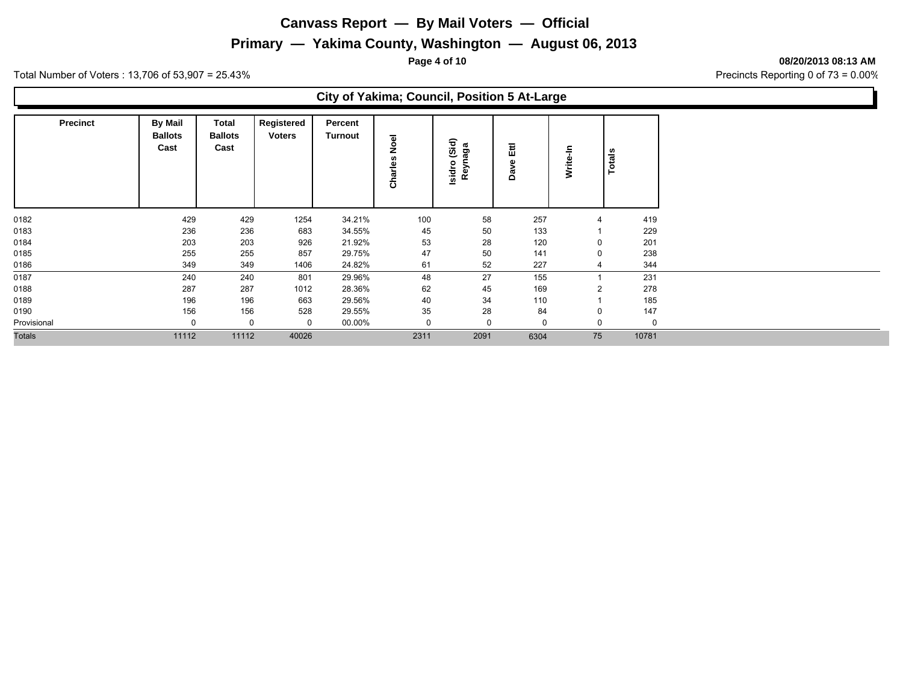### **Primary — Yakima County, Washington — August 06, 2013**

**Page 4 of 10 08/20/2013 08:13 AM**

Total Number of Voters : 13,706 of 53,907 = 25.43% Precincts Reporting 0 of 73 = 0.00%

#### **City of Yakima; Council, Position 5 At-Large**

| <b>Precinct</b> | <b>By Mail</b><br><b>Ballots</b><br>Cast | Total<br><b>Ballots</b><br>Cast | Registered<br><b>Voters</b> | Percent<br><b>Turnout</b> | Noel<br>Charles | (Sid)<br>aga<br>Reyna<br>Isidro | 됪<br>ω<br>ᢐ<br>$\Omega$ | ÷<br>Write     | Totals   |
|-----------------|------------------------------------------|---------------------------------|-----------------------------|---------------------------|-----------------|---------------------------------|-------------------------|----------------|----------|
| 0182            | 429                                      | 429                             | 1254                        | 34.21%                    | 100             | 58                              | 257                     |                | 419      |
| 0183            | 236                                      | 236                             | 683                         | 34.55%                    | 45              | 50                              | 133                     |                | 229      |
| 0184            | 203                                      | 203                             | 926                         | 21.92%                    | 53              | 28                              | 120                     | $\mathbf 0$    | 201      |
| 0185            | 255                                      | 255                             | 857                         | 29.75%                    | 47              | 50                              | 141                     | $\mathbf 0$    | 238      |
| 0186            | 349                                      | 349                             | 1406                        | 24.82%                    | 61              | 52                              | 227                     | 4              | 344      |
| 0187            | 240                                      | 240                             | 801                         | 29.96%                    | 48              | 27                              | 155                     |                | 231      |
| 0188            | 287                                      | 287                             | 1012                        | 28.36%                    | 62              | 45                              | 169                     | $\overline{2}$ | 278      |
| 0189            | 196                                      | 196                             | 663                         | 29.56%                    | 40              | 34                              | 110                     |                | 185      |
| 0190            | 156                                      | 156                             | 528                         | 29.55%                    | 35              | 28                              | 84                      | $\mathbf 0$    | 147      |
| Provisional     | 0                                        | 0                               | $\mathbf 0$                 | 00.00%                    |                 | 0                               | 0                       | $\mathbf 0$    | $\Omega$ |
| <b>Totals</b>   | 11112                                    | 11112                           | 40026                       |                           | 2311            | 2091                            | 6304                    | 75             | 10781    |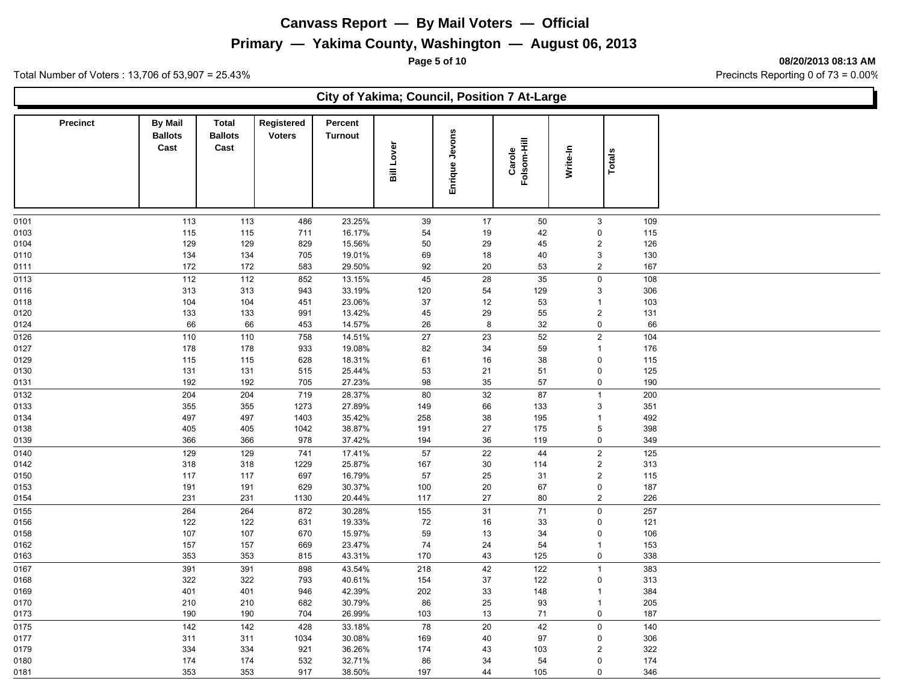#### **Primary — Yakima County, Washington — August 06, 2013**

**Page 5 of 10 08/20/2013 08:13 AM**

Total Number of Voters : 13,706 of 53,907 = 25.43% Precincts Reporting 0 of 73 = 0.00%

#### **City of Yakima; Council, Position 7 At-Large**

| <b>Precinct</b> | <b>By Mail</b><br><b>Ballots</b> | <b>Total</b><br><b>Ballots</b> | Registered<br><b>Voters</b> | Percent<br>Turnout |              |                |                       |          |                        |            |  |
|-----------------|----------------------------------|--------------------------------|-----------------------------|--------------------|--------------|----------------|-----------------------|----------|------------------------|------------|--|
|                 | Cast                             | Cast                           |                             |                    | Lover<br>ail | Enrique Jevons | Folsom-Hill<br>Carole | Write-In | <b>Totals</b>          |            |  |
|                 |                                  |                                |                             |                    |              |                |                       |          |                        |            |  |
| 0101            | 113                              | 113                            | 486                         | 23.25%             | 39           | 17             | 50                    |          | $\mathsf 3$            | 109        |  |
| 0103            | 115                              | 115                            | 711                         | 16.17%             | 54           | 19             | 42                    |          | $\pmb{0}$              | 115        |  |
| 0104            | 129                              | 129                            | 829                         | 15.56%             | 50           | 29             | 45                    |          | $\overline{c}$         | 126        |  |
| 0110            | 134                              | 134                            | 705                         | 19.01%             | 69           | 18             | 40                    |          | $\mathbf{3}$           | 130        |  |
| 0111            | 172                              | 172                            | 583                         | 29.50%             | 92           | 20             | 53                    |          | $\sqrt{2}$             | 167        |  |
| 0113            | 112                              | 112                            | 852                         | 13.15%             | 45           | 28             | 35                    |          | $\mathbf 0$            | 108        |  |
| 0116            | 313                              | 313                            | 943                         | 33.19%             | 120          | 54             | 129                   |          | $\sqrt{3}$             | 306        |  |
| 0118            | 104                              | 104                            | 451                         | 23.06%             | 37           | 12             | 53                    |          | $\mathbf{1}$           | 103        |  |
| 0120            | 133                              | 133                            | 991                         | 13.42%             | 45           | 29             | 55                    |          | $\sqrt{2}$             | 131        |  |
| 0124            | 66                               | 66                             | 453                         | 14.57%             | 26           | 8              | 32                    |          | $\mathbf 0$            | 66         |  |
| 0126            | 110                              | 110                            | 758                         | 14.51%             | $27\,$       | 23             | 52                    |          | $\sqrt{2}$             | 104        |  |
| 0127            | 178                              | 178                            | 933                         | 19.08%             | 82           | 34             | 59                    |          | $\mathbf{1}$           | 176        |  |
| 0129<br>0130    | 115<br>131                       | 115<br>131                     | 628<br>515                  | 18.31%<br>25.44%   | 61<br>53     | 16<br>21       | 38<br>51              |          | $\pmb{0}$<br>$\pmb{0}$ | 115<br>125 |  |
| 0131            | 192                              | 192                            | 705                         | 27.23%             | 98           | 35             | 57                    |          | $\mathsf 0$            | 190        |  |
| 0132            | 204                              | 204                            | 719                         | 28.37%             | 80           | 32             | 87                    |          | $\mathbf{1}$           | 200        |  |
| 0133            | 355                              | 355                            | 1273                        | 27.89%             | 149          | 66             | 133                   |          | 3                      | 351        |  |
| 0134            | 497                              | 497                            | 1403                        | 35.42%             | 258          | 38             | 195                   |          | $\mathbf{1}$           | 492        |  |
| 0138            | 405                              | 405                            | 1042                        | 38.87%             | 191          | 27             | 175                   |          | 5                      | 398        |  |
| 0139            | 366                              | 366                            | 978                         | 37.42%             | 194          | 36             | 119                   |          | $\mathbf 0$            | 349        |  |
| 0140            | 129                              | 129                            | 741                         | 17.41%             | 57           | 22             | 44                    |          | $\sqrt{2}$             | 125        |  |
| 0142            | 318                              | 318                            | 1229                        | 25.87%             | 167          | 30             | 114                   |          | $\overline{2}$         | 313        |  |
| 0150            | 117                              | 117                            | 697                         | 16.79%             | 57           | 25             | 31                    |          | $\sqrt{2}$             | 115        |  |
| 0153            | 191                              | 191                            | 629                         | 30.37%             | 100          | 20             | 67                    |          | $\pmb{0}$              | 187        |  |
| 0154            | 231                              | 231                            | 1130                        | 20.44%             | 117          | 27             | 80                    |          | $\overline{2}$         | 226        |  |
| 0155            | 264                              | 264                            | 872                         | 30.28%             | 155          | 31             | 71                    |          | $\mathbf 0$            | 257        |  |
| 0156            | 122                              | 122                            | 631                         | 19.33%             | $72\,$       | 16             | 33                    |          | $\pmb{0}$              | 121        |  |
| 0158            | 107                              | 107                            | 670                         | 15.97%             | 59           | 13             | 34                    |          | $\mathbf 0$            | 106        |  |
| 0162            | 157                              | 157                            | 669                         | 23.47%             | 74           | 24             | 54                    |          | $\mathbf{1}$           | 153        |  |
| 0163            | 353                              | 353                            | 815                         | 43.31%             | 170          | 43             | 125                   |          | $\mathsf 0$            | 338        |  |
| 0167            | 391                              | 391                            | 898                         | 43.54%             | 218          | 42             | 122                   |          | $\overline{1}$         | 383        |  |
| 0168            | 322                              | 322                            | 793                         | 40.61%             | 154          | 37             | 122                   |          | $\mathbf 0$            | 313        |  |
| 0169            | 401                              | 401                            | 946                         | 42.39%             | 202          | 33             | 148                   |          | $\overline{1}$         | 384        |  |
| 0170            | 210                              | 210                            | 682                         | 30.79%             | 86           | 25             | 93                    |          | $\mathbf{1}$           | 205        |  |
| 0173            | 190                              | 190                            | 704                         | 26.99%             | 103          | 13             | 71                    |          | $\pmb{0}$              | 187        |  |
| 0175            | 142                              | 142                            | 428                         | 33.18%             | 78           | 20             | 42                    |          | $\pmb{0}$              | 140        |  |
| 0177            | 311                              | 311                            | 1034                        | 30.08%             | 169          | 40             | 97                    |          | $\mathbf 0$            | 306        |  |
| 0179            | 334                              | 334                            | 921                         | 36.26%             | 174          | 43             | 103                   |          | $\overline{c}$         | 322        |  |
| 0180            | 174                              | 174                            | 532                         | 32.71%             | 86           | 34             | 54                    |          | $\mathsf 0$            | 174        |  |
| 0181            | 353                              | 353                            | 917                         | 38.50%             | 197          | 44             | 105                   |          | $\mathbf 0$            | 346        |  |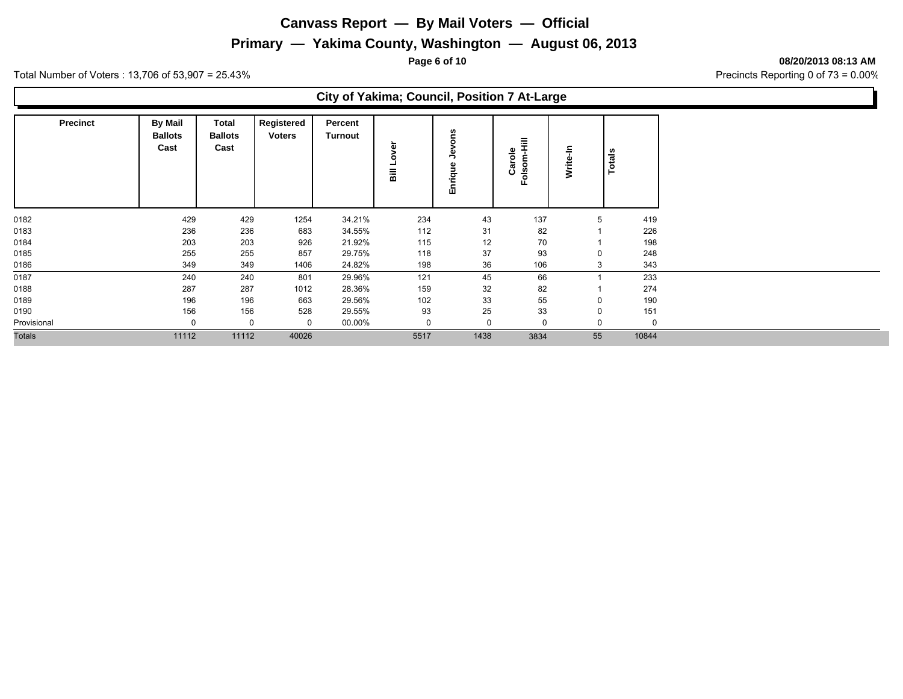#### **Primary — Yakima County, Washington — August 06, 2013**

**Page 6 of 10 08/20/2013 08:13 AM**

Total Number of Voters : 13,706 of 53,907 = 25.43% Precincts Reporting 0 of 73 = 0.00%

#### **City of Yakima; Council, Position 7 At-Large**

| <b>Precinct</b> | <b>By Mail</b><br><b>Ballots</b><br>Cast | <b>Total</b><br><b>Ballots</b><br>Cast | Registered<br><b>Voters</b> | Percent<br>Turnout | ō<br>⋗<br>o<br>$\overline{a}$ | ೡ<br>∍<br>٩U<br>inrig<br>面 | 투<br>$\frac{e}{\sigma}$<br>న్<br>۰<br><b>in</b><br>ن<br>ᄒ<br>Lī. | ≞<br>Write- | <b>Totals</b> |
|-----------------|------------------------------------------|----------------------------------------|-----------------------------|--------------------|-------------------------------|----------------------------|------------------------------------------------------------------|-------------|---------------|
| 0182            | 429                                      | 429                                    | 1254                        | 34.21%             | 234                           | 43                         | 137                                                              | 5           | 419           |
| 0183            | 236                                      | 236                                    | 683                         | 34.55%             | 112                           | 31                         | 82                                                               |             | 226           |
| 0184            | 203                                      | 203                                    | 926                         | 21.92%             | 115                           | 12                         | 70                                                               |             | 198           |
| 0185            | 255                                      | 255                                    | 857                         | 29.75%             | 118                           | 37                         | 93                                                               | $\Omega$    | 248           |
| 0186            | 349                                      | 349                                    | 1406                        | 24.82%             | 198                           | 36                         | 106                                                              | 3           | 343           |
| 0187            | 240                                      | 240                                    | 801                         | 29.96%             | 121                           | 45                         | 66                                                               |             | 233           |
| 0188            | 287                                      | 287                                    | 1012                        | 28.36%             | 159                           | 32                         | 82                                                               |             | 274           |
| 0189            | 196                                      | 196                                    | 663                         | 29.56%             | 102                           | 33                         | 55                                                               | 0           | 190           |
| 0190            | 156                                      | 156                                    | 528                         | 29.55%             | 93                            | 25                         | 33                                                               | $\mathbf 0$ | 151           |
| Provisional     | 0                                        | 0                                      | 0                           | 00.00%             | $\mathbf 0$                   |                            | $\Omega$                                                         | 0           | 0             |
| <b>Totals</b>   | 11112                                    | 11112                                  | 40026                       |                    | 5517                          | 1438                       | 3834                                                             | 55          | 10844         |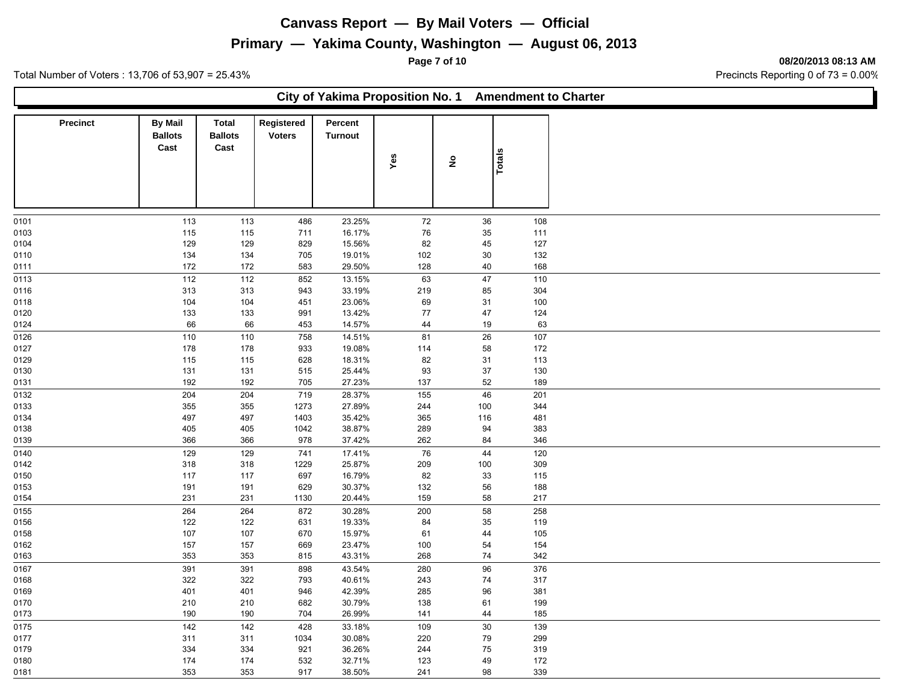#### **Primary — Yakima County, Washington — August 06, 2013**

**Page 7 of 10 08/20/2013 08:13 AM**

Total Number of Voters : 13,706 of 53,907 = 25.43% Precincts Reporting 0 of 73 = 0.00%

**City of Yakima Proposition No. 1 Amendment to Charter**

| <b>Precinct</b> | <b>By Mail</b><br><b>Ballots</b><br>Cast | <b>Total</b><br><b>Ballots</b><br>Cast | Registered<br><b>Voters</b> | Percent<br><b>Turnout</b> | Yes | $\hat{\mathbf{z}}$ |        |
|-----------------|------------------------------------------|----------------------------------------|-----------------------------|---------------------------|-----|--------------------|--------|
|                 |                                          |                                        |                             |                           |     |                    | Totals |
| 0101            | 113                                      | 113                                    | 486                         | 23.25%                    | 72  | 36                 | 108    |
| 0103            | 115                                      | 115                                    | 711                         | 16.17%                    | 76  | 35                 | 111    |
| 0104            | 129                                      | 129                                    | 829                         | 15.56%                    | 82  | 45                 | 127    |
| 0110            | 134                                      | 134                                    | 705                         | 19.01%                    | 102 | 30                 | 132    |
| 0111            | 172                                      | 172                                    | 583                         | 29.50%                    | 128 | 40                 | 168    |
| 0113            | 112                                      | 112                                    | 852                         | 13.15%                    | 63  | 47                 | 110    |
| 0116            | 313                                      | 313                                    | 943                         | 33.19%                    | 219 | 85                 | 304    |
| 0118            | 104                                      | 104                                    | 451                         | 23.06%                    | 69  | 31                 | 100    |
| 0120            | 133                                      | 133                                    | 991                         | 13.42%                    | 77  | 47                 | 124    |
| 0124            | 66                                       | 66                                     | 453                         | 14.57%                    | 44  | 19                 | 63     |
| 0126            | 110                                      |                                        | 758                         |                           | 81  | 26                 | 107    |
|                 |                                          | 110                                    |                             | 14.51%                    |     |                    |        |
| 0127            | 178                                      | 178                                    | 933                         | 19.08%                    | 114 | 58                 | 172    |
| 0129            | 115                                      | 115                                    | 628                         | 18.31%                    | 82  | 31                 | 113    |
| 0130            | 131                                      | 131                                    | 515                         | 25.44%                    | 93  | 37                 | 130    |
| 0131            | 192                                      | 192                                    | 705                         | 27.23%                    | 137 | 52                 | 189    |
| 0132            | 204                                      | 204                                    | 719                         | 28.37%                    | 155 | 46                 | 201    |
| 0133            | 355                                      | 355                                    | 1273                        | 27.89%                    | 244 | 100                | 344    |
| 0134            | 497                                      | 497                                    | 1403                        | 35.42%                    | 365 | 116                | 481    |
| 0138            | 405                                      | 405                                    | 1042                        | 38.87%                    | 289 | 94                 | 383    |
| 0139            | 366                                      | 366                                    | 978                         | 37.42%                    | 262 | 84                 | 346    |
| 0140            | 129                                      | 129                                    | 741                         | 17.41%                    | 76  | 44                 | 120    |
| 0142            | 318                                      | 318                                    | 1229                        | 25.87%                    | 209 | 100                | 309    |
| 0150            | 117                                      | 117                                    | 697                         | 16.79%                    | 82  | 33                 | 115    |
| 0153            | 191                                      | 191                                    | 629                         | 30.37%                    | 132 | 56                 | 188    |
| 0154            | 231                                      | 231                                    | 1130                        | 20.44%                    | 159 | 58                 | 217    |
| 0155            | 264                                      | 264                                    | 872                         | 30.28%                    | 200 | 58                 | 258    |
| 0156            | 122                                      | 122                                    | 631                         | 19.33%                    | 84  | 35                 | 119    |
| 0158            | 107                                      | 107                                    | 670                         | 15.97%                    | 61  | 44                 | 105    |
|                 | 157                                      | 157                                    | 669                         | 23.47%                    | 100 | 54                 | 154    |
| 0162            | 353                                      | 353                                    | 815                         | 43.31%                    | 268 | 74                 | 342    |
| 0163            |                                          |                                        |                             |                           |     |                    |        |
| 0167            | 391                                      | 391                                    | 898                         | 43.54%                    | 280 | 96                 | 376    |
| 0168            | 322                                      | 322                                    | 793                         | 40.61%                    | 243 | 74                 | 317    |
| 0169            | 401                                      | 401                                    | 946                         | 42.39%                    | 285 | 96                 | 381    |
| 0170            | 210                                      | 210                                    | 682                         | 30.79%                    | 138 | 61                 | 199    |
| 0173            | 190                                      | 190                                    | 704                         | 26.99%                    | 141 | 44                 | 185    |
| 0175            | 142                                      | 142                                    | 428                         | 33.18%                    | 109 | $30\,$             | 139    |
| 0177            | 311                                      | 311                                    | 1034                        | 30.08%                    | 220 | 79                 | 299    |
| 0179            | 334                                      | 334                                    | 921                         | 36.26%                    | 244 | 75                 | 319    |
| 0180            | 174                                      | 174                                    | 532                         | 32.71%                    | 123 | 49                 | 172    |
| 0181            | 353                                      | 353                                    | 917                         | 38.50%                    | 241 | 98                 | 339    |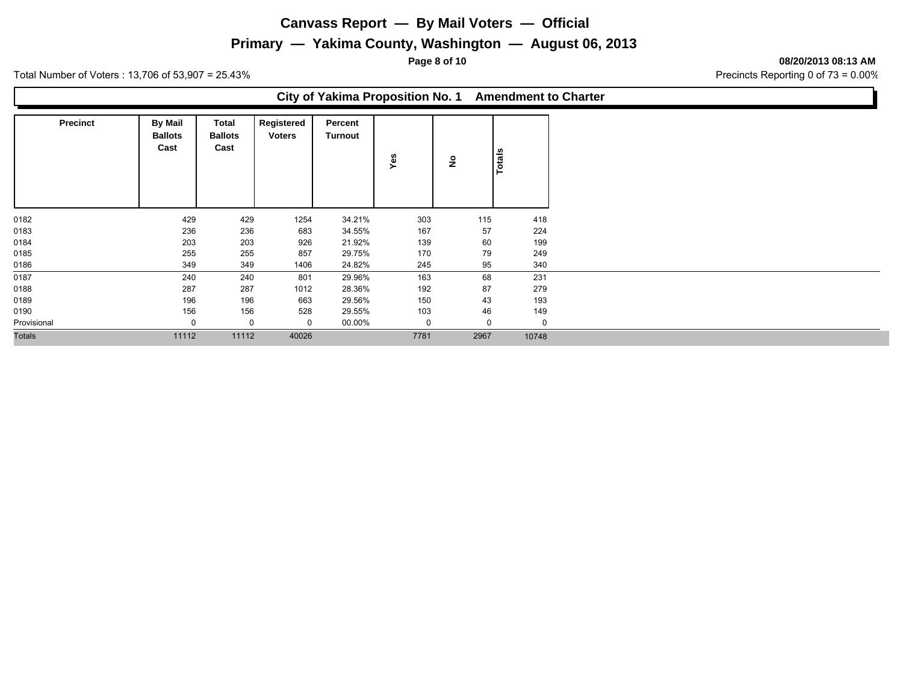#### **Primary — Yakima County, Washington — August 06, 2013**

**Page 8 of 10 08/20/2013 08:13 AM**

Total Number of Voters : 13,706 of 53,907 = 25.43% Precincts Reporting 0 of 73 = 0.00%

#### **City of Yakima Proposition No. 1 Amendment to Charter**

| <b>Precinct</b> | <b>By Mail</b><br><b>Ballots</b><br>Cast | Total<br><b>Ballots</b><br>Cast | Registered<br><b>Voters</b> | Percent<br>Turnout | Yes         | ۽        | <b>Totals</b> |
|-----------------|------------------------------------------|---------------------------------|-----------------------------|--------------------|-------------|----------|---------------|
|                 | 429                                      |                                 |                             |                    |             | 115      | 418           |
| 0182<br>0183    | 236                                      | 429<br>236                      | 1254<br>683                 | 34.21%<br>34.55%   | 303<br>167  | 57       | 224           |
| 0184            | 203                                      | 203                             | 926                         | 21.92%             | 139         | 60       | 199           |
| 0185            | 255                                      | 255                             | 857                         | 29.75%             | 170         | 79       | 249           |
| 0186            | 349                                      | 349                             | 1406                        | 24.82%             | 245         | 95       | 340           |
| 0187            | 240                                      | 240                             | 801                         | 29.96%             | 163         | 68       | 231           |
| 0188            | 287                                      | 287                             | 1012                        | 28.36%             | 192         | 87       | 279           |
| 0189            | 196                                      | 196                             | 663                         | 29.56%             | 150         | 43       | 193           |
| 0190            | 156                                      | 156                             | 528                         | 29.55%             | 103         | 46       | 149           |
| Provisional     | $\mathbf 0$                              | 0                               | 0                           | 00.00%             | $\mathbf 0$ | $\Omega$ | $\mathbf 0$   |
| <b>Totals</b>   | 11112                                    | 11112                           | 40026                       |                    | 7781        | 2967     | 10748         |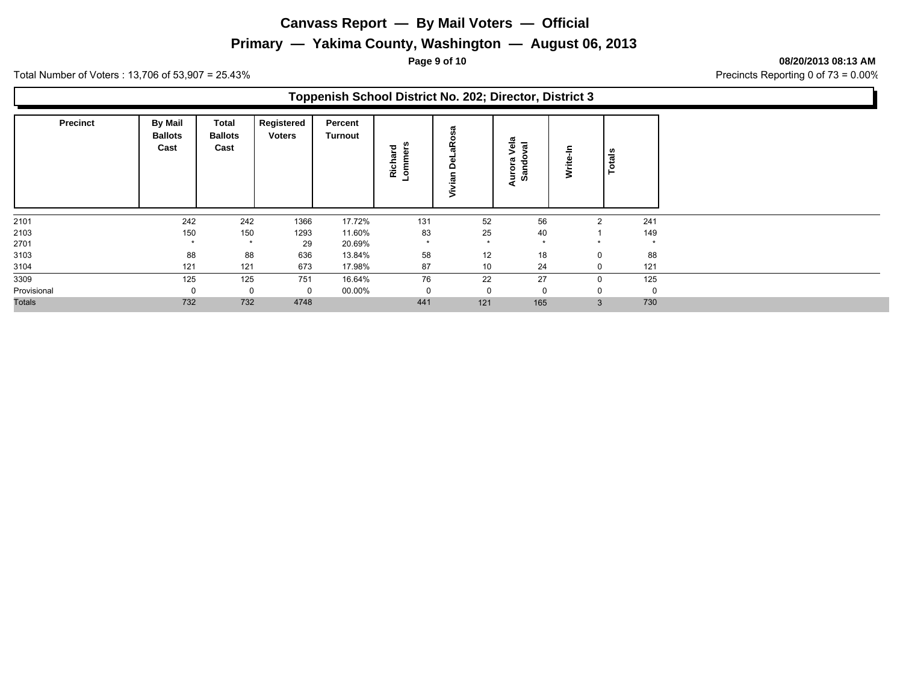#### **Primary — Yakima County, Washington — August 06, 2013**

**Page 9 of 10 08/20/2013 08:13 AM**

Total Number of Voters : 13,706 of 53,907 = 25.43% Precincts Reporting 0 of 73 = 0.00%

#### **Toppenish School District No. 202; Director, District 3**

| <b>Precinct</b> | <b>By Mail</b><br><b>Ballots</b><br>Cast | Total<br><b>Ballots</b><br>Cast | Registered<br><b>Voters</b> | Percent<br>Turnout | ers<br>Richard<br>ommo | ത<br>∝<br><u>ក</u> | Vela<br>ಸ<br>Γā<br>ಾ<br>Auro<br>အိ | ⋧            | otals<br>۴  |
|-----------------|------------------------------------------|---------------------------------|-----------------------------|--------------------|------------------------|--------------------|------------------------------------|--------------|-------------|
| 2101            | 242                                      | 242                             | 1366                        | 17.72%             | 131                    | 52                 | 56                                 | 2            | 241         |
| 2103            | 150                                      | 150                             | 1293                        | 11.60%             | 83                     | 25                 | 40                                 |              | 149         |
| 2701            | $\star$                                  | $\star$                         | 29                          | 20.69%             | $\star$                | $\star$            | $\star$                            | $\star$      | $\star$     |
| 3103            | 88                                       | 88                              | 636                         | 13.84%             | 58                     | 12                 | 18                                 | 0            | 88          |
| 3104            | 121                                      | 121                             | 673                         | 17.98%             | 87                     | 10                 | 24                                 | 0            | 121         |
| 3309            | 125                                      | 125                             | 751                         | 16.64%             | 76                     | 22                 | 27                                 | 0            | 125         |
| Provisional     | 0                                        | $\Omega$                        | 0                           | 00.00%             |                        | $\Omega$           |                                    | 0            | $\mathbf 0$ |
| <b>Totals</b>   | 732                                      | 732                             | 4748                        |                    | 441                    | 121                | 165                                | $\mathbf{3}$ | 730         |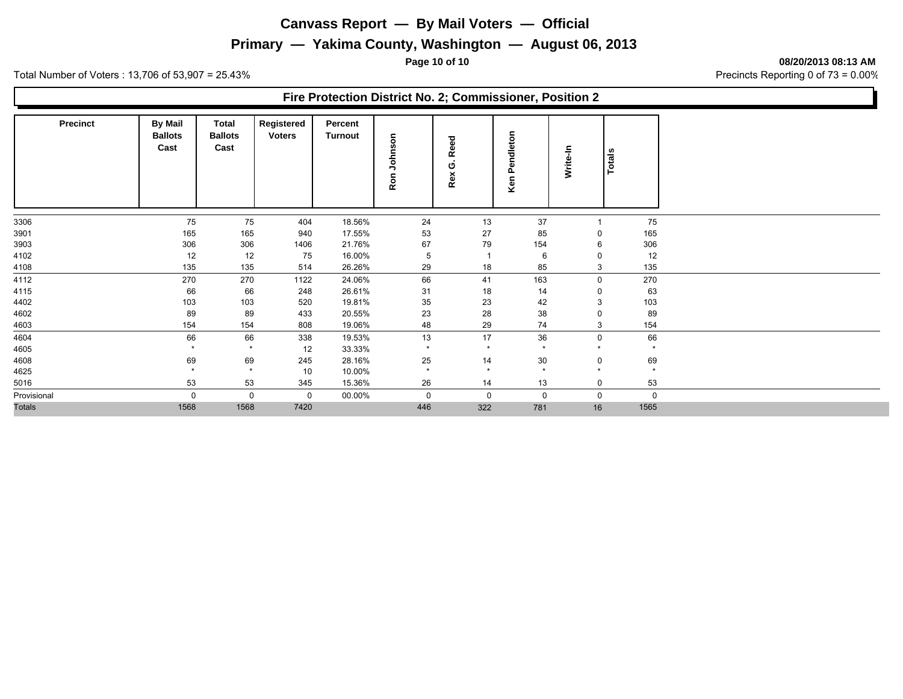#### **Primary — Yakima County, Washington — August 06, 2013**

**Page 10 of 10 08/20/2013 08:13 AM**

Total Number of Voters : 13,706 of 53,907 = 25.43% Precincts Reporting 0 of 73 = 0.00%

#### **Fire Protection District No. 2; Commissioner, Position 2**

| <b>Precinct</b> | <b>By Mail</b><br><b>Ballots</b><br>Cast | Total<br><b>Ballots</b><br>Cast | Registered<br><b>Voters</b> | Percent<br>Turnout | Johnson<br>Ron | Reed<br>ပ<br>Rex | Pendleton<br>Ken | Write-In | Totals      |
|-----------------|------------------------------------------|---------------------------------|-----------------------------|--------------------|----------------|------------------|------------------|----------|-------------|
| 3306            | 75                                       | 75                              | 404                         | 18.56%             | 24             | 13               | 37               |          | 75          |
| 3901            | 165                                      | 165                             | 940                         | 17.55%             | 53             | 27               | 85               | 0        | 165         |
| 3903            | 306                                      | 306                             | 1406                        | 21.76%             | 67             | 79               | 154              | 6        | 306         |
| 4102            | 12                                       | 12                              | 75                          | 16.00%             | 5              | -1               | 6                | 0        | 12          |
| 4108            | 135                                      | 135                             | 514                         | 26.26%             | 29             | 18               | 85               | 3        | 135         |
| 4112            | 270                                      | 270                             | 1122                        | 24.06%             | 66             | 41               | 163              | 0        | 270         |
| 4115            | 66                                       | 66                              | 248                         | 26.61%             | 31             | 18               | 14               | 0        | 63          |
| 4402            | 103                                      | 103                             | 520                         | 19.81%             | 35             | 23               | 42               | 3        | 103         |
| 4602            | 89                                       | 89                              | 433                         | 20.55%             | 23             | 28               | 38               | 0        | 89          |
| 4603            | 154                                      | 154                             | 808                         | 19.06%             | 48             | 29               | 74               | 3        | 154         |
| 4604            | 66                                       | 66                              | 338                         | 19.53%             | 13             | 17               | 36               | 0        | 66          |
| 4605            | $\star$                                  | $\star$                         | 12                          | 33.33%             | $\star$        | $\star$          | $\star$          | $\star$  | $\star$     |
| 4608            | 69                                       | 69                              | 245                         | 28.16%             | 25             | 14               | 30               | 0        | 69          |
| 4625            | $\star$                                  | $\star$                         | 10                          | 10.00%             | $\star$        | $\star$          | $\star$          | $\star$  | $\star$     |
| 5016            | 53                                       | 53                              | 345                         | 15.36%             | 26             | 14               | 13               | 0        | 53          |
| Provisional     | 0                                        | $\mathbf 0$                     | $\mathbf 0$                 | 00.00%             | 0              | $\mathbf 0$      | $\mathbf 0$      | 0        | $\mathbf 0$ |
| <b>Totals</b>   | 1568                                     | 1568                            | 7420                        |                    | 446            | 322              | 781              | 16       | 1565        |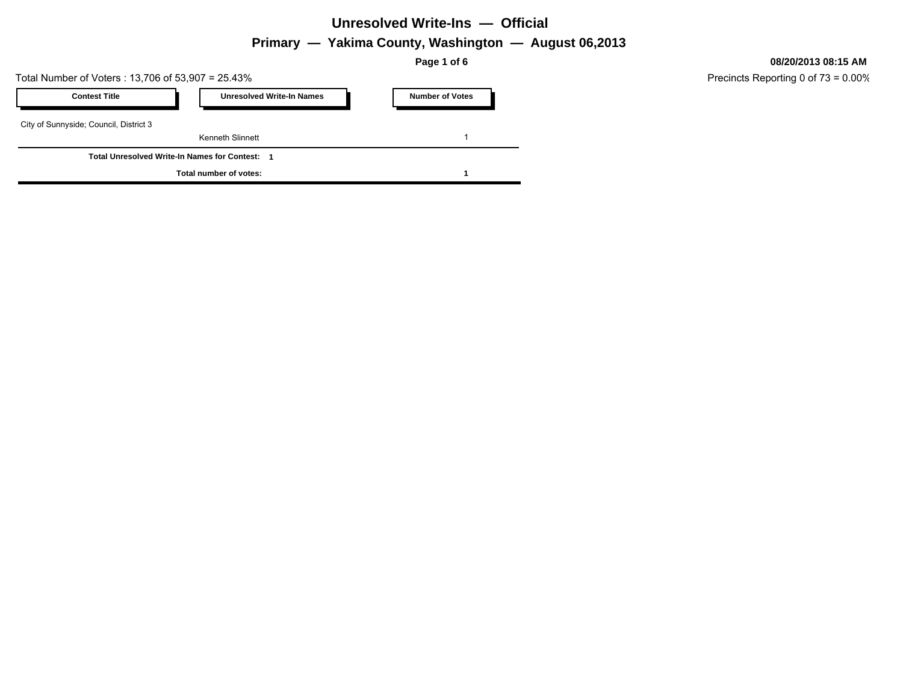#### **Unresolved Write-Ins — Official**

**Primary — Yakima County, Washington — August 06,2013**

**Page 1 of 6**

Total Number of Voters : 13,706 of 53,907 = 25.43%

| <b>Contest Title</b>                                | <b>Unresolved Write-In Names</b> | <b>Number of Votes</b> |
|-----------------------------------------------------|----------------------------------|------------------------|
| City of Sunnyside; Council, District 3              |                                  |                        |
|                                                     | Kenneth Slinnett                 |                        |
| <b>Total Unresolved Write-In Names for Contest:</b> |                                  |                        |
|                                                     | Total number of votes:           |                        |

**08/20/2013 08:15 AM**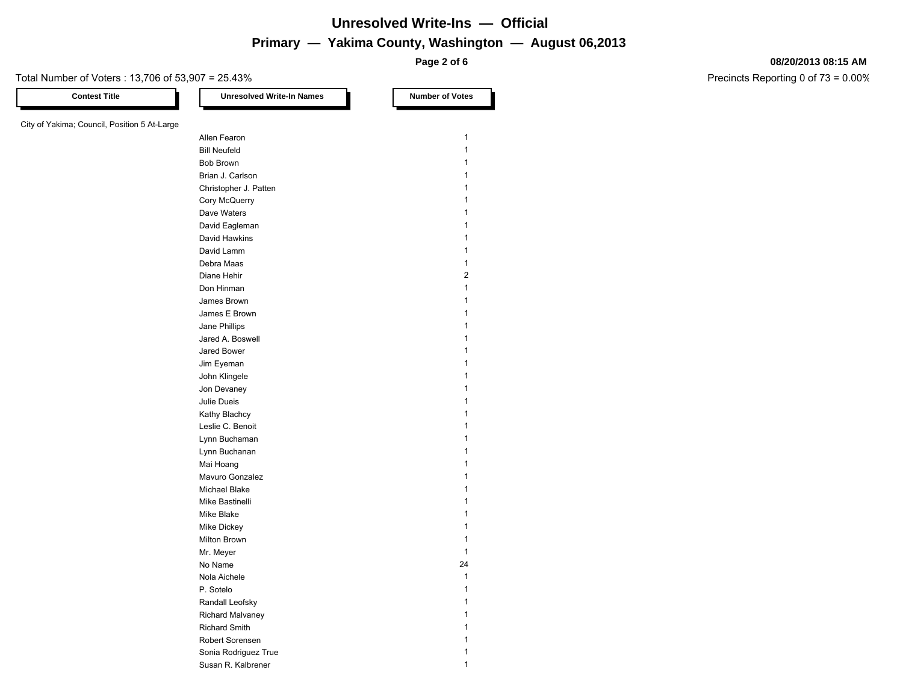# **Primary — Yakima County, Washington — August 06,2013 Unresolved Write-Ins — Official**

**Page 2 of 6**

#### **08/20/2013 08:15 AM**

Precincts Reporting 0 of 73 = 0.00%

Total Number of Voters : 13,706 of 53,907 = 25.43%

# **Contest Title Number of Votes Number of Votes** City of Yakima; Council, Position 5 At-Larg

| ge |                       |    |                |
|----|-----------------------|----|----------------|
|    | Allen Fearon          |    | 1              |
|    | <b>Bill Neufeld</b>   |    | 1              |
|    | <b>Bob Brown</b>      |    | 1              |
|    | Brian J. Carlson      |    | 1              |
|    | Christopher J. Patten |    | 1              |
|    | Cory McQuerry         |    | 1              |
|    | Dave Waters           |    | 1              |
|    | David Eagleman        |    | 1              |
|    | David Hawkins         |    | 1              |
|    | David Lamm            |    | 1              |
|    | Debra Maas            |    | 1              |
|    | Diane Hehir           |    | $\overline{2}$ |
|    | Don Hinman            |    | 1              |
|    | James Brown           |    | 1              |
|    | James E Brown         |    | 1              |
|    | Jane Phillips         |    | 1              |
|    | Jared A. Boswell      |    | 1              |
|    | Jared Bower           |    | 1              |
|    | Jim Eyeman            |    | 1              |
|    | John Klingele         |    | $\mathbf{1}$   |
|    | Jon Devaney           |    | 1              |
|    | Julie Dueis           |    | 1              |
|    | Kathy Blachcy         |    | 1              |
|    | Leslie C. Benoit      |    | 1              |
|    | Lynn Buchaman         |    | 1              |
|    | Lynn Buchanan         |    | $\mathbf{1}$   |
|    | Mai Hoang             |    | $\mathbf{1}$   |
|    | Mavuro Gonzalez       |    | $\mathbf{1}$   |
|    | Michael Blake         |    | $\mathbf{1}$   |
|    | Mike Bastinelli       |    | $\mathbf{1}$   |
|    | Mike Blake            |    | 1              |
|    | Mike Dickey           |    | $\mathbf{1}$   |
|    | Milton Brown          |    | $\mathbf{1}$   |
|    | Mr. Meyer             |    | $\mathbf{1}$   |
|    | No Name               | 24 |                |
|    | Nola Aichele          |    | $\mathbf{1}$   |
|    | P. Sotelo             |    | 1              |
|    | Randall Leofsky       |    | 1              |
|    | Richard Malvaney      |    | $\mathbf{1}$   |
|    | <b>Richard Smith</b>  |    | 1              |
|    | Robert Sorensen       |    | 1              |
|    | Sonia Rodriguez True  |    | 1              |
|    | Susan R. Kalbrener    |    | 1              |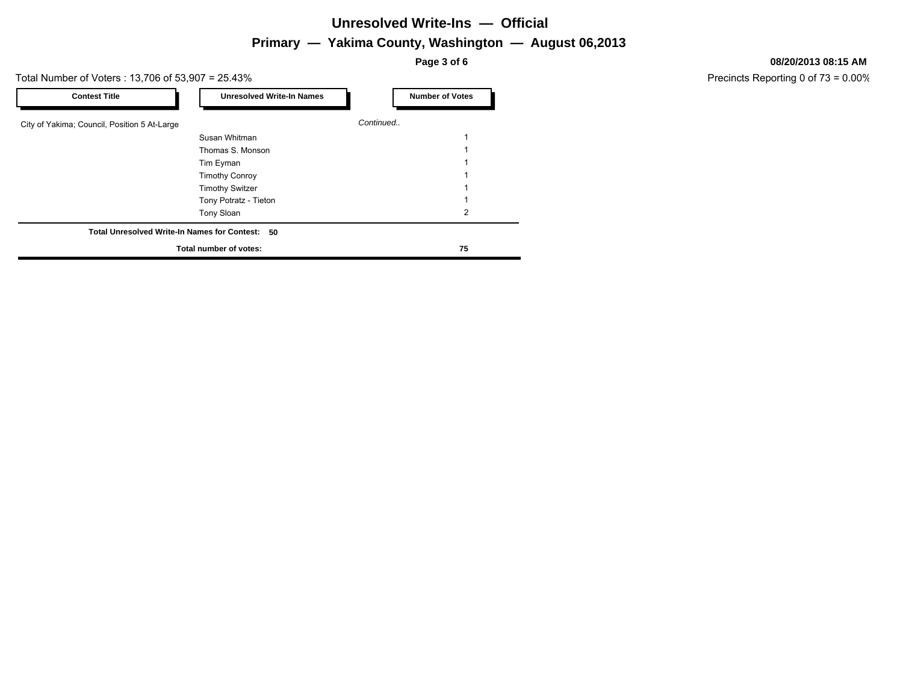# **Primary — Yakima County, Washington — August 06,2013 Unresolved Write-Ins — Official**

**Page 3 of 6**

#### Total Number of Voters : 13,706 of 53,907 = 25.43%

| <b>Contest Title</b>                            | <b>Unresolved Write-In Names</b> | <b>Number of Votes</b> |
|-------------------------------------------------|----------------------------------|------------------------|
| City of Yakima; Council, Position 5 At-Large    |                                  | Continued              |
|                                                 | Susan Whitman                    |                        |
|                                                 | Thomas S. Monson                 |                        |
|                                                 | Tim Eyman                        |                        |
|                                                 | <b>Timothy Conroy</b>            |                        |
|                                                 | <b>Timothy Switzer</b>           |                        |
|                                                 | Tony Potratz - Tieton            |                        |
|                                                 | Tony Sloan                       | 2                      |
| Total Unresolved Write-In Names for Contest: 50 |                                  |                        |
| Total number of votes:                          | 75                               |                        |

#### **08/20/2013 08:15 AM**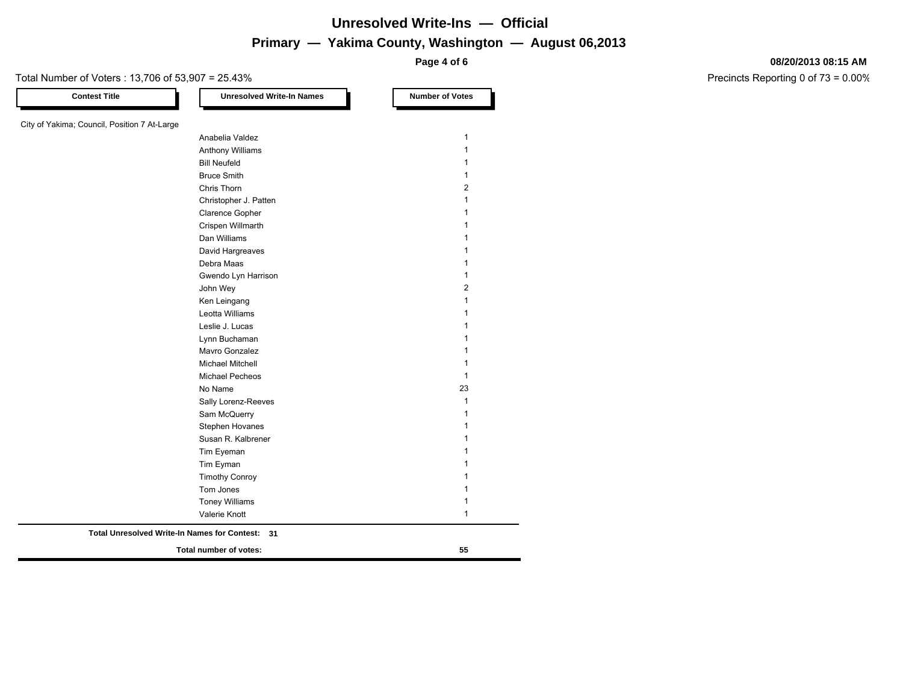# **Primary — Yakima County, Washington — August 06,2013 Unresolved Write-Ins — Official**

**Page 4 of 6**

#### **08/20/2013 08:15 AM**

Precincts Reporting 0 of 73 = 0.00%

Total Number of Voters : 13,706 of 53,907 = 25.43%

| <b>Contest Title</b>                         |  |
|----------------------------------------------|--|
| City of Yakima; Council, Position 7 At-Large |  |
|                                              |  |
|                                              |  |
|                                              |  |

| City of Yakima; Council, Position 7 At-Large |                                                 |                |
|----------------------------------------------|-------------------------------------------------|----------------|
|                                              | Anabelia Valdez                                 | 1              |
|                                              | Anthony Williams                                | 1              |
|                                              | <b>Bill Neufeld</b>                             | 1              |
|                                              | <b>Bruce Smith</b>                              | 1              |
|                                              | Chris Thorn                                     | $\overline{2}$ |
|                                              | Christopher J. Patten                           | $\mathbf{1}$   |
|                                              | Clarence Gopher                                 | 1              |
|                                              | Crispen Willmarth                               | 1              |
|                                              | Dan Williams                                    | 1              |
|                                              | David Hargreaves                                |                |
|                                              | Debra Maas                                      | 1              |
|                                              | Gwendo Lyn Harrison                             | 1              |
|                                              | John Wey                                        | 2              |
|                                              | Ken Leingang                                    | 1              |
|                                              | Leotta Williams                                 | 1              |
|                                              | Leslie J. Lucas                                 | 1              |
|                                              | Lynn Buchaman                                   | 1              |
|                                              | Mavro Gonzalez                                  | 1              |
|                                              | Michael Mitchell                                | 1              |
|                                              | Michael Pecheos                                 | 1              |
|                                              | No Name                                         | 23             |
|                                              | Sally Lorenz-Reeves                             | 1              |
|                                              | Sam McQuerry                                    | 1              |
|                                              | Stephen Hovanes                                 | 1              |
|                                              | Susan R. Kalbrener                              | 1              |
|                                              | Tim Eyeman                                      |                |
|                                              | Tim Eyman                                       | 1              |
|                                              | <b>Timothy Conroy</b>                           | 1              |
|                                              | Tom Jones                                       | 1              |
|                                              | <b>Toney Williams</b>                           | 1              |
|                                              | Valerie Knott                                   | 1              |
|                                              | Total Unresolved Write-In Names for Contest: 31 |                |
|                                              | Total number of votes:                          | 55             |

Unresolved Write-In Names **Number of Votes**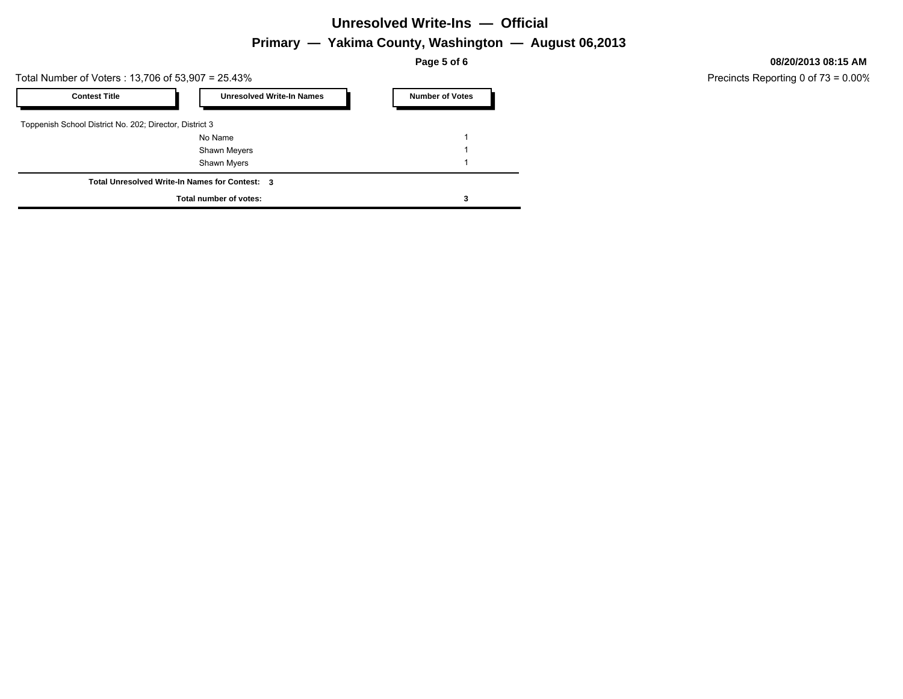#### **Unresolved Write-Ins — Official**

### **Primary — Yakima County, Washington — August 06,2013**

**Page 5 of 6**

Total Number of Voters : 13,706 of 53,907 = 25.43%

| <b>Contest Title</b>                                    | <b>Unresolved Write-In Names</b>               | <b>Number of Votes</b> |
|---------------------------------------------------------|------------------------------------------------|------------------------|
| Toppenish School District No. 202; Director, District 3 |                                                |                        |
|                                                         | No Name                                        |                        |
|                                                         | <b>Shawn Meyers</b>                            |                        |
|                                                         | Shawn Myers                                    |                        |
|                                                         | Total Unresolved Write-In Names for Contest: 3 |                        |
|                                                         | Total number of votes:                         |                        |

**08/20/2013 08:15 AM**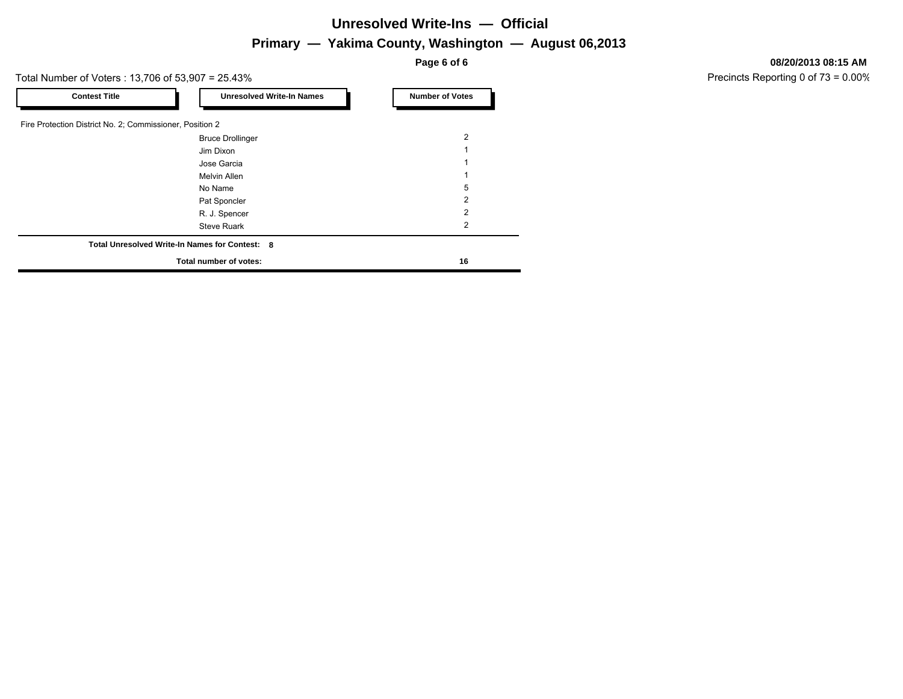#### **Unresolved Write-Ins — Official**

#### **Primary — Yakima County, Washington — August 06,2013**

**Page 6 of 6**

Total Number of Voters : 13,706 of 53,907 = 25.43%

| <b>Contest Title</b>                                     | <b>Unresolved Write-In Names</b>               | <b>Number of Votes</b> |
|----------------------------------------------------------|------------------------------------------------|------------------------|
| Fire Protection District No. 2; Commissioner, Position 2 |                                                |                        |
|                                                          |                                                | 2                      |
|                                                          | <b>Bruce Drollinger</b>                        |                        |
|                                                          | Jim Dixon                                      |                        |
|                                                          | Jose Garcia                                    |                        |
|                                                          | <b>Melvin Allen</b>                            |                        |
|                                                          | No Name                                        | 5                      |
|                                                          | Pat Sponcler                                   | 2                      |
|                                                          | R. J. Spencer                                  | 2                      |
|                                                          | <b>Steve Ruark</b>                             | 2                      |
|                                                          | Total Unresolved Write-In Names for Contest: 8 |                        |
| Total number of votes:                                   | 16                                             |                        |

#### **08/20/2013 08:15 AM**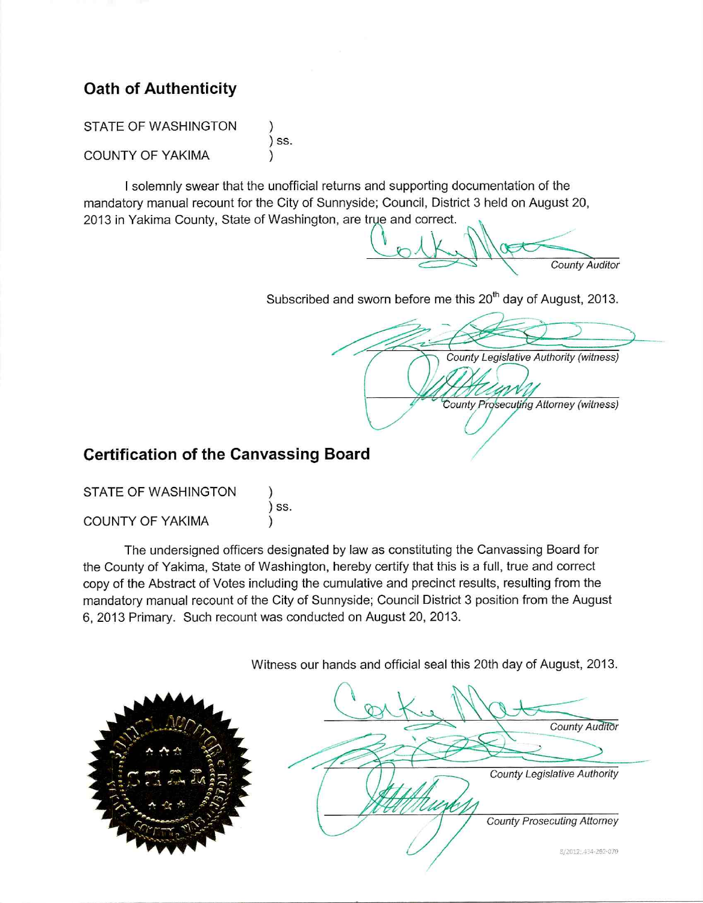# **Oath of Authenticity**

**STATE OF WASHINGTON**  $\mathcal{E}$  $)$  SS. **COUNTY OF YAKIMA**  $\lambda$ 

I solemnly swear that the unofficial returns and supporting documentation of the mandatory manual recount for the City of Sunnyside; Council, District 3 held on August 20, 2013 in Yakima County, State of Washington, are true and correct.

**County Auditor** 

Subscribed and sworn before me this 20<sup>th</sup> day of August, 2013.

**County Legislative Authority (witness)** County Prosecuting Attorney (witness)

# **Certification of the Canvassing Board**

| <b>STATE OF WASHINGTON</b> |         |
|----------------------------|---------|
| <b>COUNTY OF YAKIMA</b>    | $)$ SS. |

The undersigned officers designated by law as constituting the Canvassing Board for the County of Yakima, State of Washington, hereby certify that this is a full, true and correct copy of the Abstract of Votes including the cumulative and precinct results, resulting from the mandatory manual recount of the City of Sunnyside; Council District 3 position from the August 6, 2013 Primary. Such recount was conducted on August 20, 2013.

Witness our hands and official seal this 20th day of August, 2013.

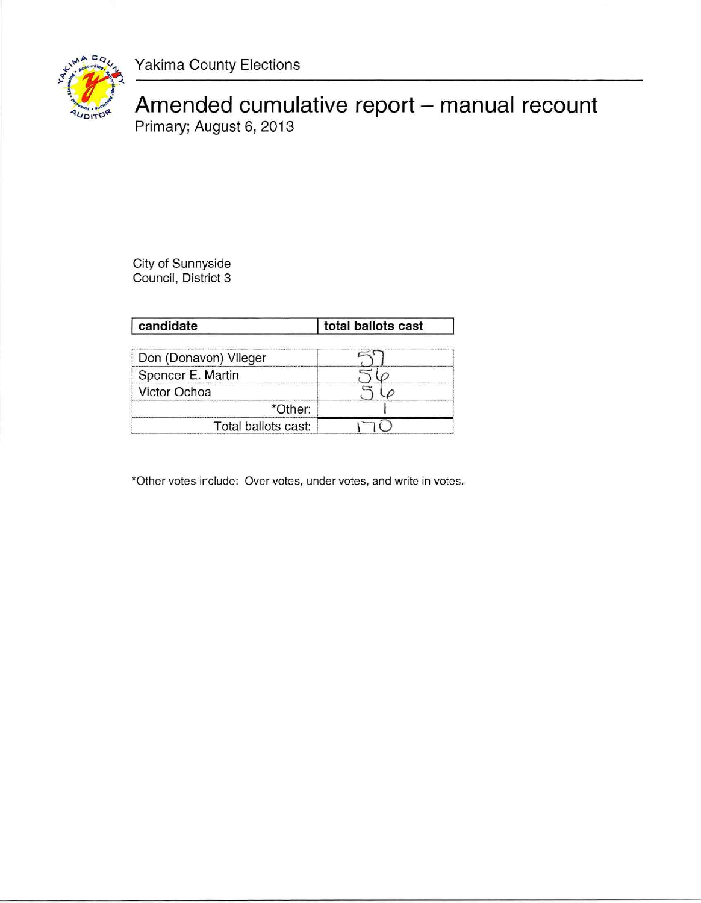Yakima County Elections



Amended cumulative report - manual recount<br>Primary; August 6, 2013

City of Sunnyside<br>Council, District 3

| candidate             | total ballots cast |  |
|-----------------------|--------------------|--|
| Don (Donavon) Vlieger |                    |  |
| Spencer E. Martin     |                    |  |
| Victor Ochoa          |                    |  |
| *Other:               |                    |  |
| Total ballots cast:   |                    |  |

\*Other votes include: Over votes, under votes, and write in votes.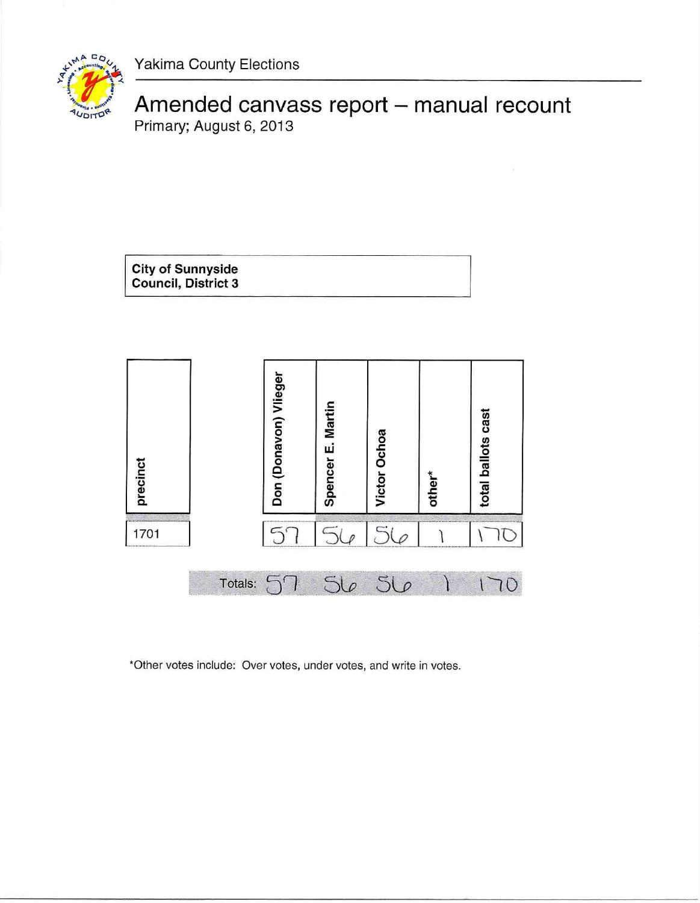Yakima County Elections



# Amended canvass report - manual recount Primary; August 6, 2013





\*Other votes include: Over votes, under votes, and write in votes.